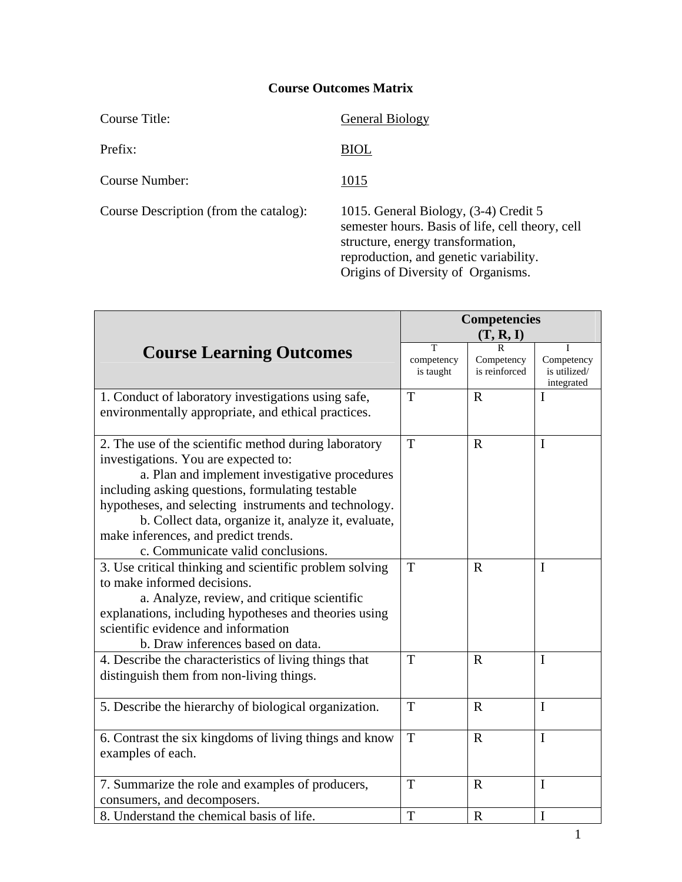Prefix: BIOL

Course Number: 1015

Course Description (from the catalog): 1015. General Biology, (3-4) Credit 5

Course Title: General Biology

semester hours. Basis of life, cell theory, cell structure, energy transformation, reproduction, and genetic variability. Origins of Diversity of Organisms.

|                                                                                                                                                                                                                                                                                                                                                                                                  | <b>Competencies</b>          |                             |                                          |
|--------------------------------------------------------------------------------------------------------------------------------------------------------------------------------------------------------------------------------------------------------------------------------------------------------------------------------------------------------------------------------------------------|------------------------------|-----------------------------|------------------------------------------|
|                                                                                                                                                                                                                                                                                                                                                                                                  | (T, R, I)                    |                             |                                          |
| <b>Course Learning Outcomes</b>                                                                                                                                                                                                                                                                                                                                                                  | T<br>competency<br>is taught | Competency<br>is reinforced | Competency<br>is utilized/<br>integrated |
| 1. Conduct of laboratory investigations using safe,<br>environmentally appropriate, and ethical practices.                                                                                                                                                                                                                                                                                       | T                            | $\mathbf R$                 | I                                        |
| 2. The use of the scientific method during laboratory<br>investigations. You are expected to:<br>a. Plan and implement investigative procedures<br>including asking questions, formulating testable<br>hypotheses, and selecting instruments and technology.<br>b. Collect data, organize it, analyze it, evaluate,<br>make inferences, and predict trends.<br>c. Communicate valid conclusions. | T                            | $\mathbf R$                 | I                                        |
| 3. Use critical thinking and scientific problem solving<br>to make informed decisions.<br>a. Analyze, review, and critique scientific<br>explanations, including hypotheses and theories using<br>scientific evidence and information<br>b. Draw inferences based on data.                                                                                                                       | T                            | $\mathbf R$                 | I                                        |
| 4. Describe the characteristics of living things that<br>distinguish them from non-living things.                                                                                                                                                                                                                                                                                                | T                            | $\mathbf{R}$                | $\mathbf I$                              |
| 5. Describe the hierarchy of biological organization.                                                                                                                                                                                                                                                                                                                                            | T                            | $\mathbf R$                 | $\mathbf I$                              |
| 6. Contrast the six kingdoms of living things and know<br>examples of each.                                                                                                                                                                                                                                                                                                                      | T                            | $\mathbf R$                 | $\mathbf I$                              |
| 7. Summarize the role and examples of producers,<br>consumers, and decomposers.                                                                                                                                                                                                                                                                                                                  | T                            | $\mathbf R$                 | $\mathbf I$                              |
| 8. Understand the chemical basis of life.                                                                                                                                                                                                                                                                                                                                                        | T                            | $\mathbf R$                 | I                                        |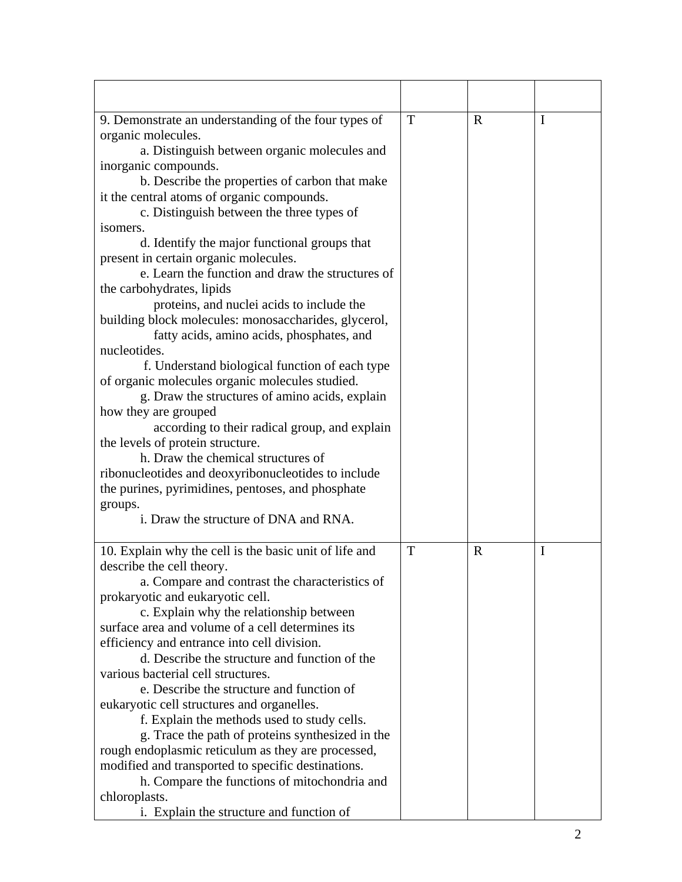| 9. Demonstrate an understanding of the four types of   | T | $\mathbf R$ | I              |
|--------------------------------------------------------|---|-------------|----------------|
| organic molecules.                                     |   |             |                |
| a. Distinguish between organic molecules and           |   |             |                |
| inorganic compounds.                                   |   |             |                |
| b. Describe the properties of carbon that make         |   |             |                |
| it the central atoms of organic compounds.             |   |             |                |
| c. Distinguish between the three types of              |   |             |                |
| isomers.                                               |   |             |                |
| d. Identify the major functional groups that           |   |             |                |
| present in certain organic molecules.                  |   |             |                |
| e. Learn the function and draw the structures of       |   |             |                |
| the carbohydrates, lipids                              |   |             |                |
| proteins, and nuclei acids to include the              |   |             |                |
| building block molecules: monosaccharides, glycerol,   |   |             |                |
| fatty acids, amino acids, phosphates, and              |   |             |                |
| nucleotides.                                           |   |             |                |
| f. Understand biological function of each type         |   |             |                |
| of organic molecules organic molecules studied.        |   |             |                |
| g. Draw the structures of amino acids, explain         |   |             |                |
| how they are grouped                                   |   |             |                |
| according to their radical group, and explain          |   |             |                |
| the levels of protein structure.                       |   |             |                |
| h. Draw the chemical structures of                     |   |             |                |
| ribonucleotides and deoxyribonucleotides to include    |   |             |                |
| the purines, pyrimidines, pentoses, and phosphate      |   |             |                |
| groups.                                                |   |             |                |
| i. Draw the structure of DNA and RNA.                  |   |             |                |
| 10. Explain why the cell is the basic unit of life and | T | $\mathbf R$ | I              |
| describe the cell theory.                              |   |             |                |
| a. Compare and contrast the characteristics of         |   |             |                |
| prokaryotic and eukaryotic cell.                       |   |             |                |
| c. Explain why the relationship between                |   |             |                |
| surface area and volume of a cell determines its       |   |             |                |
| efficiency and entrance into cell division.            |   |             |                |
| d. Describe the structure and function of the          |   |             |                |
| various bacterial cell structures.                     |   |             |                |
| e. Describe the structure and function of              |   |             |                |
| eukaryotic cell structures and organelles.             |   |             |                |
| f. Explain the methods used to study cells.            |   |             |                |
| g. Trace the path of proteins synthesized in the       |   |             |                |
| rough endoplasmic reticulum as they are processed,     |   |             |                |
| modified and transported to specific destinations.     |   |             |                |
| h. Compare the functions of mitochondria and           |   |             |                |
| chloroplasts.                                          |   |             |                |
| i. Explain the structure and function of               |   |             |                |
|                                                        |   |             | $\overline{2}$ |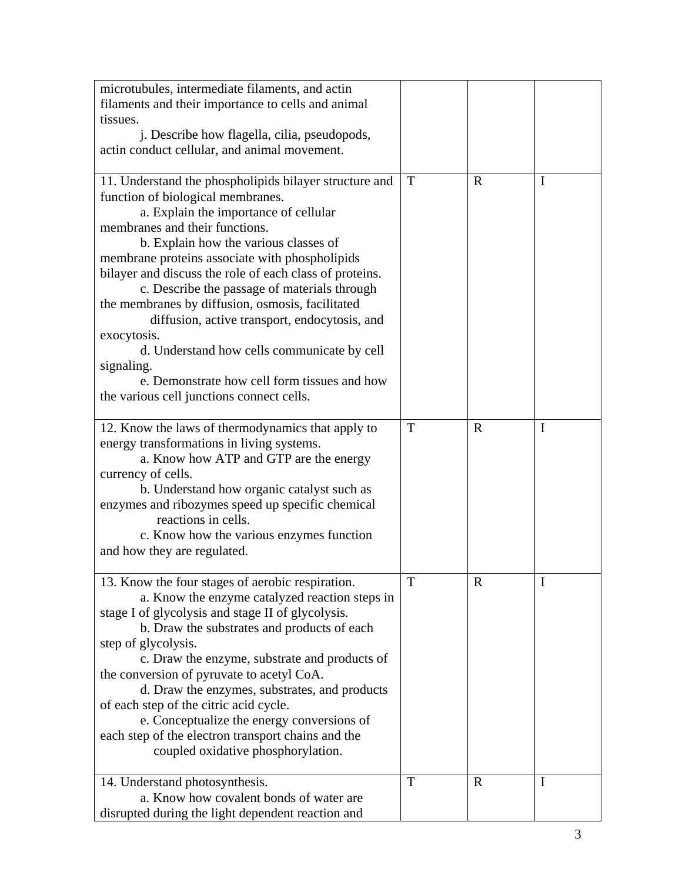| microtubules, intermediate filaments, and actin         |   |             |             |
|---------------------------------------------------------|---|-------------|-------------|
| filaments and their importance to cells and animal      |   |             |             |
| tissues.                                                |   |             |             |
| j. Describe how flagella, cilia, pseudopods,            |   |             |             |
| actin conduct cellular, and animal movement.            |   |             |             |
|                                                         |   |             |             |
| 11. Understand the phospholipids bilayer structure and  | T | $\mathbf R$ | I           |
| function of biological membranes.                       |   |             |             |
| a. Explain the importance of cellular                   |   |             |             |
| membranes and their functions.                          |   |             |             |
| b. Explain how the various classes of                   |   |             |             |
| membrane proteins associate with phospholipids          |   |             |             |
| bilayer and discuss the role of each class of proteins. |   |             |             |
| c. Describe the passage of materials through            |   |             |             |
| the membranes by diffusion, osmosis, facilitated        |   |             |             |
| diffusion, active transport, endocytosis, and           |   |             |             |
| exocytosis.                                             |   |             |             |
| d. Understand how cells communicate by cell             |   |             |             |
| signaling.                                              |   |             |             |
| e. Demonstrate how cell form tissues and how            |   |             |             |
| the various cell junctions connect cells.               |   |             |             |
|                                                         |   |             |             |
| 12. Know the laws of thermodynamics that apply to       | T | $\mathbf R$ | I           |
| energy transformations in living systems.               |   |             |             |
|                                                         |   |             |             |
| a. Know how ATP and GTP are the energy                  |   |             |             |
| currency of cells.                                      |   |             |             |
| b. Understand how organic catalyst such as              |   |             |             |
| enzymes and ribozymes speed up specific chemical        |   |             |             |
| reactions in cells.                                     |   |             |             |
| c. Know how the various enzymes function                |   |             |             |
| and how they are regulated.                             |   |             |             |
|                                                         | T | ${\bf R}$   | $\mathbf I$ |
| 13. Know the four stages of aerobic respiration.        |   |             |             |
| a. Know the enzyme catalyzed reaction steps in          |   |             |             |
| stage I of glycolysis and stage II of glycolysis.       |   |             |             |
| b. Draw the substrates and products of each             |   |             |             |
| step of glycolysis.                                     |   |             |             |
| c. Draw the enzyme, substrate and products of           |   |             |             |
| the conversion of pyruvate to acetyl CoA.               |   |             |             |
| d. Draw the enzymes, substrates, and products           |   |             |             |
| of each step of the citric acid cycle.                  |   |             |             |
| e. Conceptualize the energy conversions of              |   |             |             |
| each step of the electron transport chains and the      |   |             |             |
| coupled oxidative phosphorylation.                      |   |             |             |
|                                                         |   |             |             |
| 14. Understand photosynthesis.                          | T | $\mathbf R$ | I           |
| a. Know how covalent bonds of water are                 |   |             |             |
| disrupted during the light dependent reaction and       |   |             |             |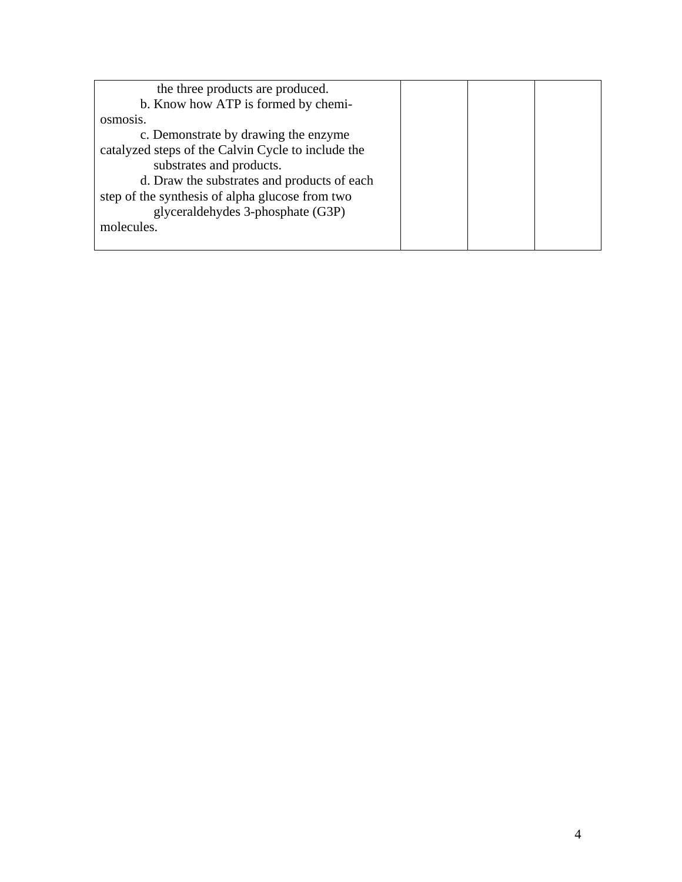| the three products are produced.                   |  |  |
|----------------------------------------------------|--|--|
| b. Know how ATP is formed by chemi-                |  |  |
| OSMOS <sub>18</sub> .                              |  |  |
| c. Demonstrate by drawing the enzyme               |  |  |
| catalyzed steps of the Calvin Cycle to include the |  |  |
| substrates and products.                           |  |  |
| d. Draw the substrates and products of each        |  |  |
| step of the synthesis of alpha glucose from two    |  |  |
| glyceraldehydes 3-phosphate (G3P)                  |  |  |
| molecules.                                         |  |  |
|                                                    |  |  |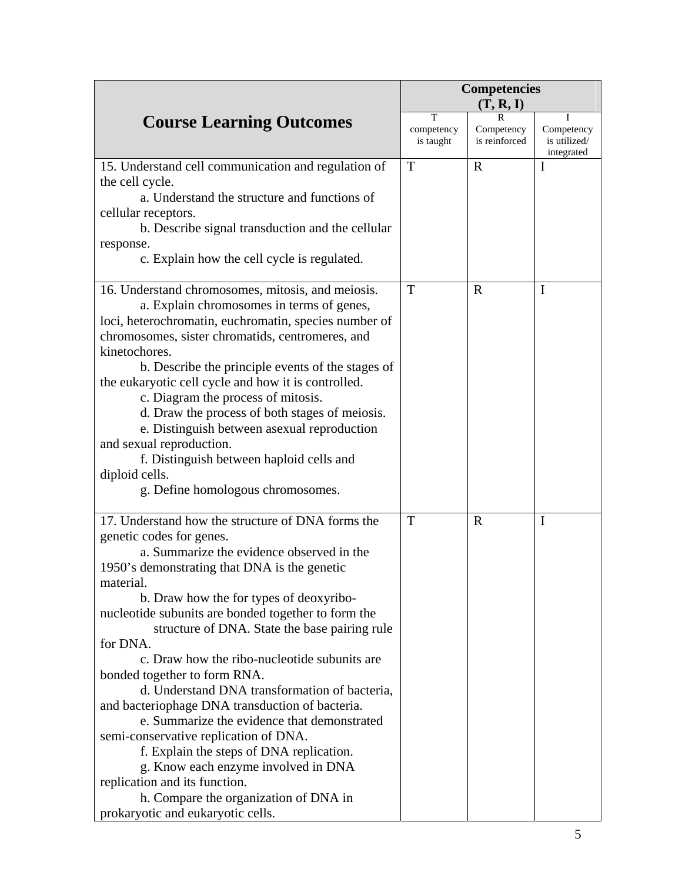|                                                                               | <b>Competencies</b><br>(T, R, I) |                                  |                                          |
|-------------------------------------------------------------------------------|----------------------------------|----------------------------------|------------------------------------------|
| <b>Course Learning Outcomes</b>                                               | T<br>competency<br>is taught     | R<br>Competency<br>is reinforced | Competency<br>is utilized/<br>integrated |
| 15. Understand cell communication and regulation of                           | T                                | $\mathbf R$                      | I                                        |
| the cell cycle.                                                               |                                  |                                  |                                          |
| a. Understand the structure and functions of                                  |                                  |                                  |                                          |
| cellular receptors.                                                           |                                  |                                  |                                          |
| b. Describe signal transduction and the cellular                              |                                  |                                  |                                          |
| response.                                                                     |                                  |                                  |                                          |
| c. Explain how the cell cycle is regulated.                                   |                                  |                                  |                                          |
| 16. Understand chromosomes, mitosis, and meiosis.                             | T                                | $\mathbf R$                      | $\mathbf I$                              |
| a. Explain chromosomes in terms of genes,                                     |                                  |                                  |                                          |
| loci, heterochromatin, euchromatin, species number of                         |                                  |                                  |                                          |
| chromosomes, sister chromatids, centromeres, and                              |                                  |                                  |                                          |
| kinetochores.                                                                 |                                  |                                  |                                          |
| b. Describe the principle events of the stages of                             |                                  |                                  |                                          |
| the eukaryotic cell cycle and how it is controlled.                           |                                  |                                  |                                          |
| c. Diagram the process of mitosis.                                            |                                  |                                  |                                          |
| d. Draw the process of both stages of meiosis.                                |                                  |                                  |                                          |
| e. Distinguish between as exual reproduction                                  |                                  |                                  |                                          |
| and sexual reproduction.                                                      |                                  |                                  |                                          |
| f. Distinguish between haploid cells and                                      |                                  |                                  |                                          |
| diploid cells.                                                                |                                  |                                  |                                          |
| g. Define homologous chromosomes.                                             |                                  |                                  |                                          |
| 17. Understand how the structure of DNA forms the                             | T                                | $\mathbf R$                      | I                                        |
| genetic codes for genes.                                                      |                                  |                                  |                                          |
| a. Summarize the evidence observed in the                                     |                                  |                                  |                                          |
| 1950's demonstrating that DNA is the genetic                                  |                                  |                                  |                                          |
| material.                                                                     |                                  |                                  |                                          |
| b. Draw how the for types of deoxyribo-                                       |                                  |                                  |                                          |
| nucleotide subunits are bonded together to form the                           |                                  |                                  |                                          |
| structure of DNA. State the base pairing rule                                 |                                  |                                  |                                          |
| for DNA.                                                                      |                                  |                                  |                                          |
| c. Draw how the ribo-nucleotide subunits are                                  |                                  |                                  |                                          |
| bonded together to form RNA.<br>d. Understand DNA transformation of bacteria, |                                  |                                  |                                          |
| and bacteriophage DNA transduction of bacteria.                               |                                  |                                  |                                          |
| e. Summarize the evidence that demonstrated                                   |                                  |                                  |                                          |
| semi-conservative replication of DNA.                                         |                                  |                                  |                                          |
| f. Explain the steps of DNA replication.                                      |                                  |                                  |                                          |
| g. Know each enzyme involved in DNA                                           |                                  |                                  |                                          |
| replication and its function.                                                 |                                  |                                  |                                          |
| h. Compare the organization of DNA in                                         |                                  |                                  |                                          |
| prokaryotic and eukaryotic cells.                                             |                                  |                                  |                                          |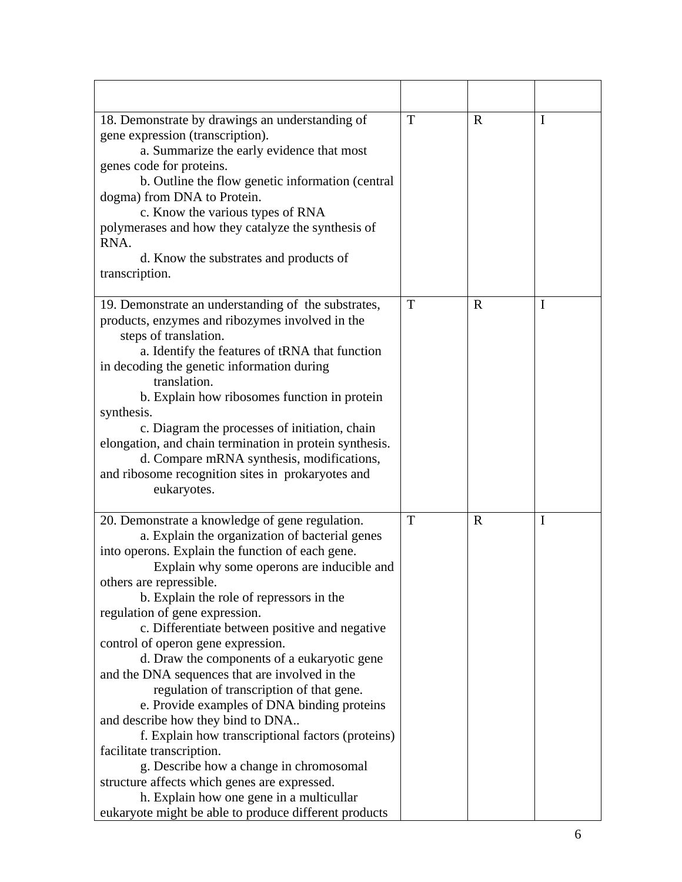| 18. Demonstrate by drawings an understanding of         | T | $\mathbf R$ | I |
|---------------------------------------------------------|---|-------------|---|
| gene expression (transcription).                        |   |             |   |
| a. Summarize the early evidence that most               |   |             |   |
| genes code for proteins.                                |   |             |   |
| b. Outline the flow genetic information (central        |   |             |   |
| dogma) from DNA to Protein.                             |   |             |   |
| c. Know the various types of RNA                        |   |             |   |
| polymerases and how they catalyze the synthesis of      |   |             |   |
| RNA.                                                    |   |             |   |
| d. Know the substrates and products of                  |   |             |   |
| transcription.                                          |   |             |   |
| 19. Demonstrate an understanding of the substrates,     | T | $\mathbf R$ | I |
| products, enzymes and ribozymes involved in the         |   |             |   |
| steps of translation.                                   |   |             |   |
| a. Identify the features of tRNA that function          |   |             |   |
| in decoding the genetic information during              |   |             |   |
| translation.                                            |   |             |   |
| b. Explain how ribosomes function in protein            |   |             |   |
| synthesis.                                              |   |             |   |
| c. Diagram the processes of initiation, chain           |   |             |   |
| elongation, and chain termination in protein synthesis. |   |             |   |
| d. Compare mRNA synthesis, modifications,               |   |             |   |
| and ribosome recognition sites in prokaryotes and       |   |             |   |
| eukaryotes.                                             |   |             |   |
|                                                         |   |             |   |
| 20. Demonstrate a knowledge of gene regulation.         | T | R           | 1 |
| a. Explain the organization of bacterial genes          |   |             |   |
| into operons. Explain the function of each gene.        |   |             |   |
| Explain why some operons are inducible and              |   |             |   |
| others are repressible.                                 |   |             |   |
| b. Explain the role of repressors in the                |   |             |   |
| regulation of gene expression.                          |   |             |   |
| c. Differentiate between positive and negative          |   |             |   |
| control of operon gene expression.                      |   |             |   |
| d. Draw the components of a eukaryotic gene             |   |             |   |
| and the DNA sequences that are involved in the          |   |             |   |
| regulation of transcription of that gene.               |   |             |   |
| e. Provide examples of DNA binding proteins             |   |             |   |
| and describe how they bind to DNA                       |   |             |   |
| f. Explain how transcriptional factors (proteins)       |   |             |   |
| facilitate transcription.                               |   |             |   |
| g. Describe how a change in chromosomal                 |   |             |   |
| structure affects which genes are expressed.            |   |             |   |
| h. Explain how one gene in a multicullar                |   |             |   |
| eukaryote might be able to produce different products   |   |             |   |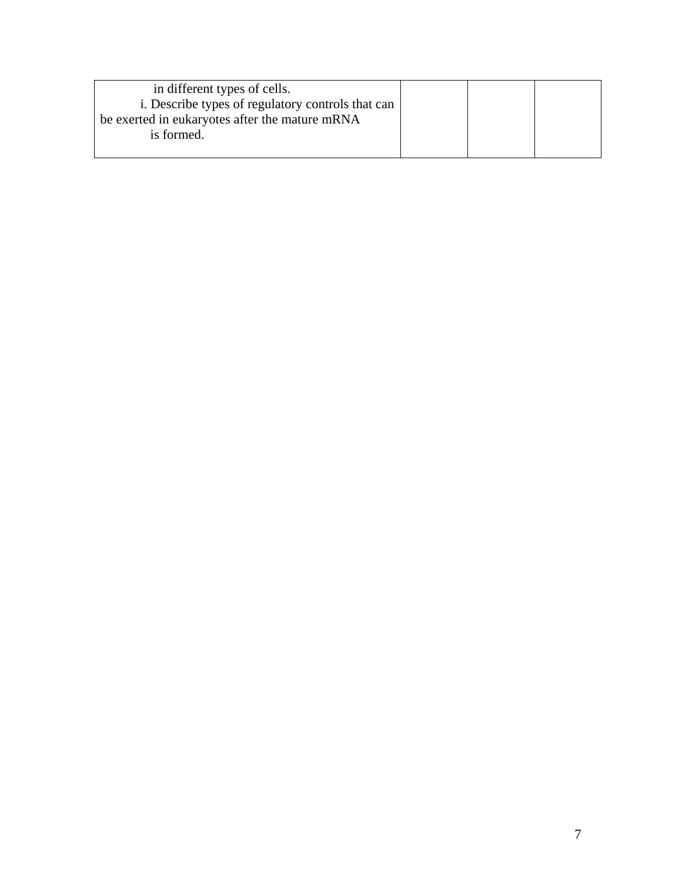| in different types of cells.                      |  |  |
|---------------------------------------------------|--|--|
| i. Describe types of regulatory controls that can |  |  |
| be exerted in eukaryotes after the mature mRNA    |  |  |
| is formed.                                        |  |  |
|                                                   |  |  |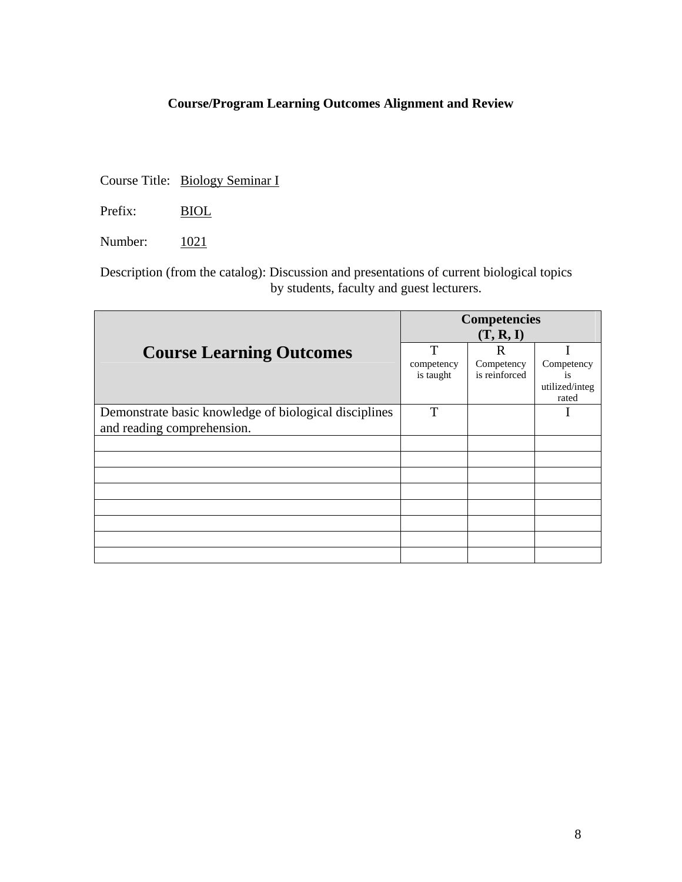Course Title: Biology Seminar I

Prefix: BIOL

Number: 1021

Description (from the catalog): Discussion and presentations of current biological topics by students, faculty and guest lecturers.

|                                                       | <b>Competencies</b> |               |                         |
|-------------------------------------------------------|---------------------|---------------|-------------------------|
|                                                       | (T, R, I)           |               |                         |
| <b>Course Learning Outcomes</b>                       | T                   | R             |                         |
|                                                       | competency          | Competency    | Competency              |
|                                                       | is taught           | is reinforced | is                      |
|                                                       |                     |               | utilized/integ<br>rated |
| Demonstrate basic knowledge of biological disciplines | T                   |               |                         |
| and reading comprehension.                            |                     |               |                         |
|                                                       |                     |               |                         |
|                                                       |                     |               |                         |
|                                                       |                     |               |                         |
|                                                       |                     |               |                         |
|                                                       |                     |               |                         |
|                                                       |                     |               |                         |
|                                                       |                     |               |                         |
|                                                       |                     |               |                         |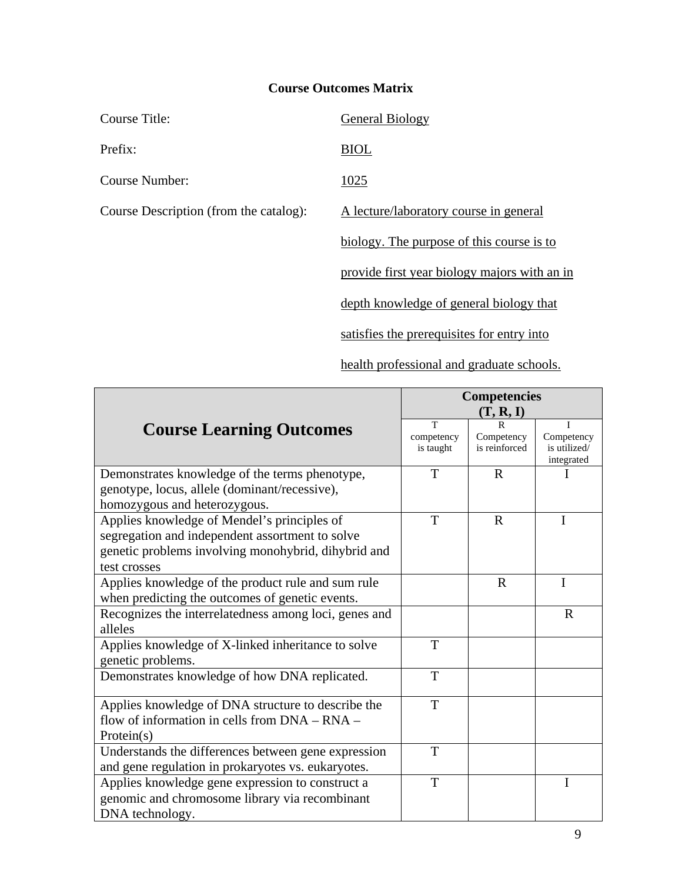| Course Title:                          | <b>General Biology</b>                       |
|----------------------------------------|----------------------------------------------|
| Prefix:                                | <b>BIOL</b>                                  |
| Course Number:                         | 1025                                         |
| Course Description (from the catalog): | A lecture/laboratory course in general       |
|                                        | biology. The purpose of this course is to    |
|                                        | provide first year biology majors with an in |
|                                        | depth knowledge of general biology that      |
|                                        | satisfies the prerequisites for entry into   |

health professional and graduate schools.

|                                                                                                                                                                       | <b>Competencies</b>          |                             |                                          |
|-----------------------------------------------------------------------------------------------------------------------------------------------------------------------|------------------------------|-----------------------------|------------------------------------------|
|                                                                                                                                                                       |                              | (T, R, I)                   |                                          |
| <b>Course Learning Outcomes</b>                                                                                                                                       | T<br>competency<br>is taught | Competency<br>is reinforced | Competency<br>is utilized/<br>integrated |
| Demonstrates knowledge of the terms phenotype,<br>genotype, locus, allele (dominant/recessive),<br>homozygous and heterozygous.                                       | T                            | $\mathbf R$                 |                                          |
| Applies knowledge of Mendel's principles of<br>segregation and independent assortment to solve<br>genetic problems involving monohybrid, dihybrid and<br>test crosses | T                            | $\mathbf R$                 | $\mathbf I$                              |
| Applies knowledge of the product rule and sum rule<br>when predicting the outcomes of genetic events.                                                                 |                              | $\mathbf R$                 | $\mathbf I$                              |
| Recognizes the interrelatedness among loci, genes and<br>alleles                                                                                                      |                              |                             | $\mathbf R$                              |
| Applies knowledge of X-linked inheritance to solve<br>genetic problems.                                                                                               | T                            |                             |                                          |
| Demonstrates knowledge of how DNA replicated.                                                                                                                         | T                            |                             |                                          |
| Applies knowledge of DNA structure to describe the<br>flow of information in cells from DNA – RNA –<br>Protein(s)                                                     | T                            |                             |                                          |
| Understands the differences between gene expression<br>and gene regulation in prokaryotes vs. eukaryotes.                                                             | T                            |                             |                                          |
| Applies knowledge gene expression to construct a<br>genomic and chromosome library via recombinant<br>DNA technology.                                                 | T                            |                             | I                                        |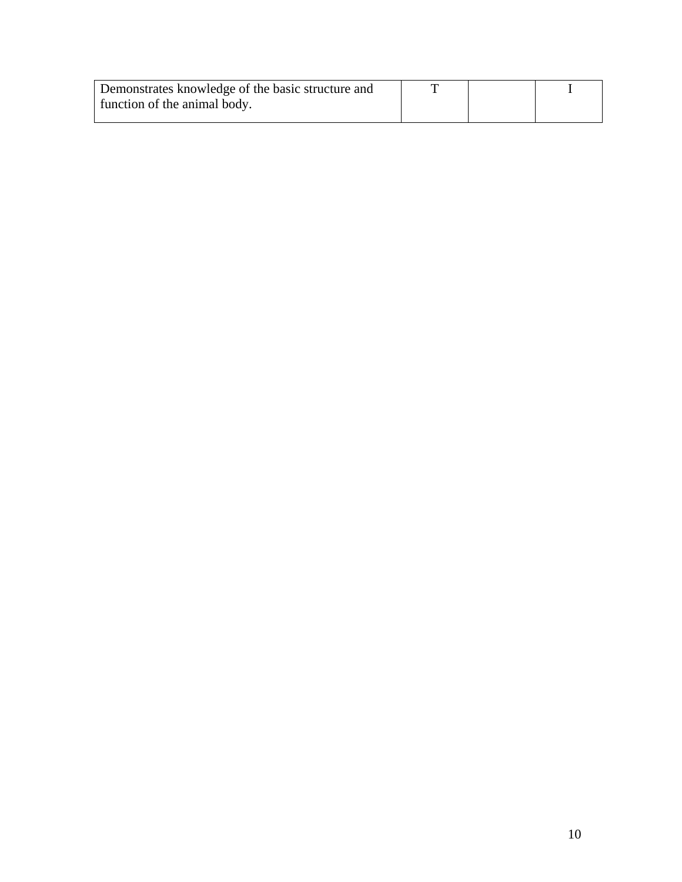| Demonstrates knowledge of the basic structure and | m |  |
|---------------------------------------------------|---|--|
| function of the animal body.                      |   |  |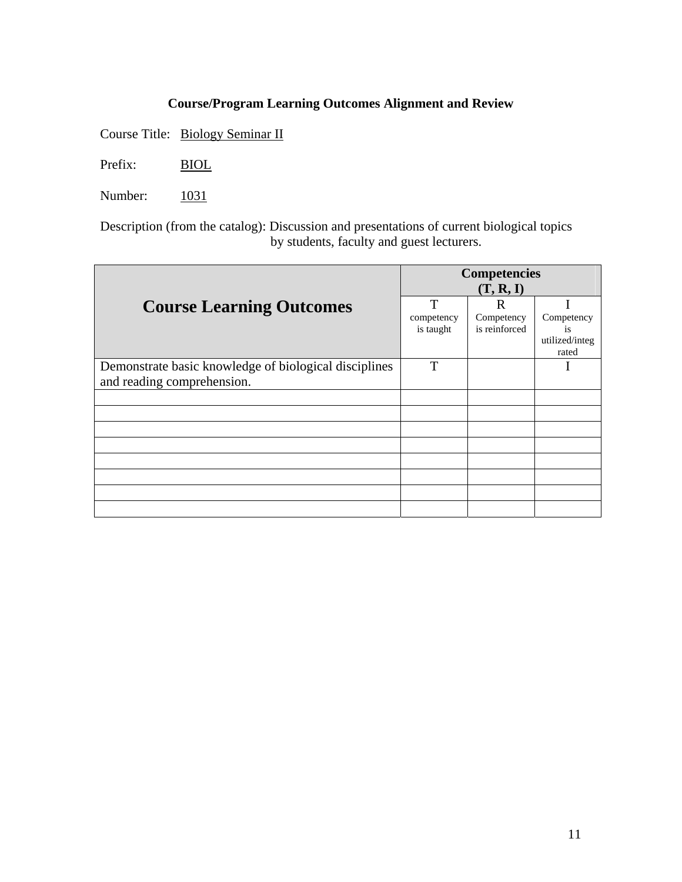Course Title: Biology Seminar II

Prefix: BIOL

Number: 1031

Description (from the catalog): Discussion and presentations of current biological topics by students, faculty and guest lecturers.

|                                                                                     | <b>Competencies</b><br>(T, R, I) |                                  |                                             |
|-------------------------------------------------------------------------------------|----------------------------------|----------------------------------|---------------------------------------------|
| <b>Course Learning Outcomes</b>                                                     | T<br>competency<br>is taught     | R<br>Competency<br>is reinforced | Competency<br>is<br>utilized/integ<br>rated |
| Demonstrate basic knowledge of biological disciplines<br>and reading comprehension. | T                                |                                  |                                             |
|                                                                                     |                                  |                                  |                                             |
|                                                                                     |                                  |                                  |                                             |
|                                                                                     |                                  |                                  |                                             |
|                                                                                     |                                  |                                  |                                             |
|                                                                                     |                                  |                                  |                                             |
|                                                                                     |                                  |                                  |                                             |
|                                                                                     |                                  |                                  |                                             |
|                                                                                     |                                  |                                  |                                             |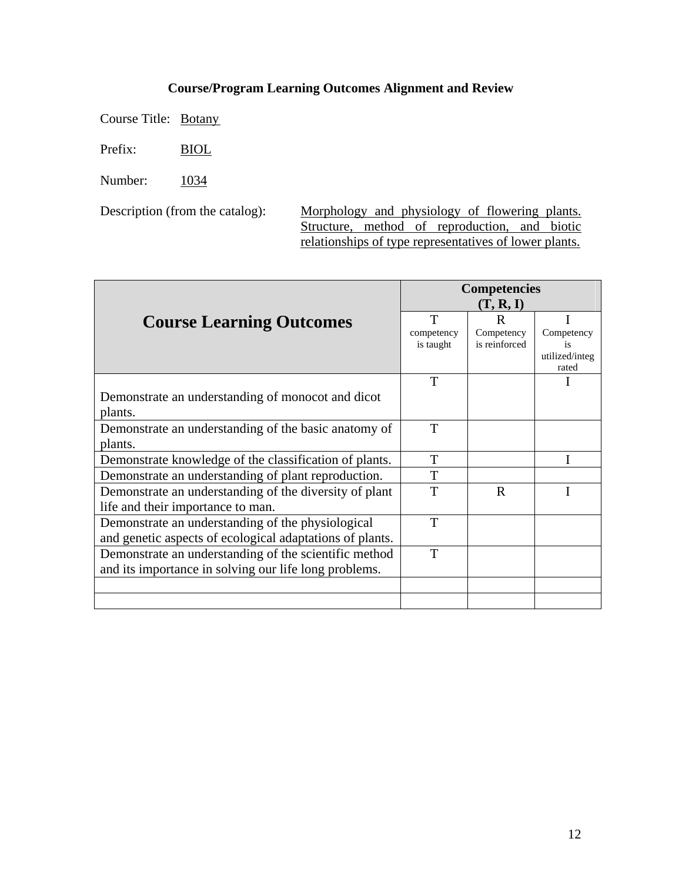Course Title: Botany

Prefix: BIOL

Number: 1034

Description (from the catalog): Morphology and physiology of flowering plants. Structure, method of reproduction, and biotic relationships of type representatives of lower plants.

|                                                          | <b>Competencies</b> |               |                         |
|----------------------------------------------------------|---------------------|---------------|-------------------------|
|                                                          | (T, R, I)           |               |                         |
| <b>Course Learning Outcomes</b>                          | T                   | R             |                         |
|                                                          | competency          | Competency    | Competency              |
|                                                          | is taught           | is reinforced | is                      |
|                                                          |                     |               | utilized/integ<br>rated |
|                                                          | T                   |               |                         |
| Demonstrate an understanding of monocot and dicot        |                     |               |                         |
| plants.                                                  |                     |               |                         |
| Demonstrate an understanding of the basic anatomy of     | T                   |               |                         |
| plants.                                                  |                     |               |                         |
| Demonstrate knowledge of the classification of plants.   | T                   |               |                         |
| Demonstrate an understanding of plant reproduction.      | T                   |               |                         |
| Demonstrate an understanding of the diversity of plant   | T                   | $\mathbf R$   |                         |
| life and their importance to man.                        |                     |               |                         |
| Demonstrate an understanding of the physiological        | T                   |               |                         |
| and genetic aspects of ecological adaptations of plants. |                     |               |                         |
| Demonstrate an understanding of the scientific method    | T                   |               |                         |
| and its importance in solving our life long problems.    |                     |               |                         |
|                                                          |                     |               |                         |
|                                                          |                     |               |                         |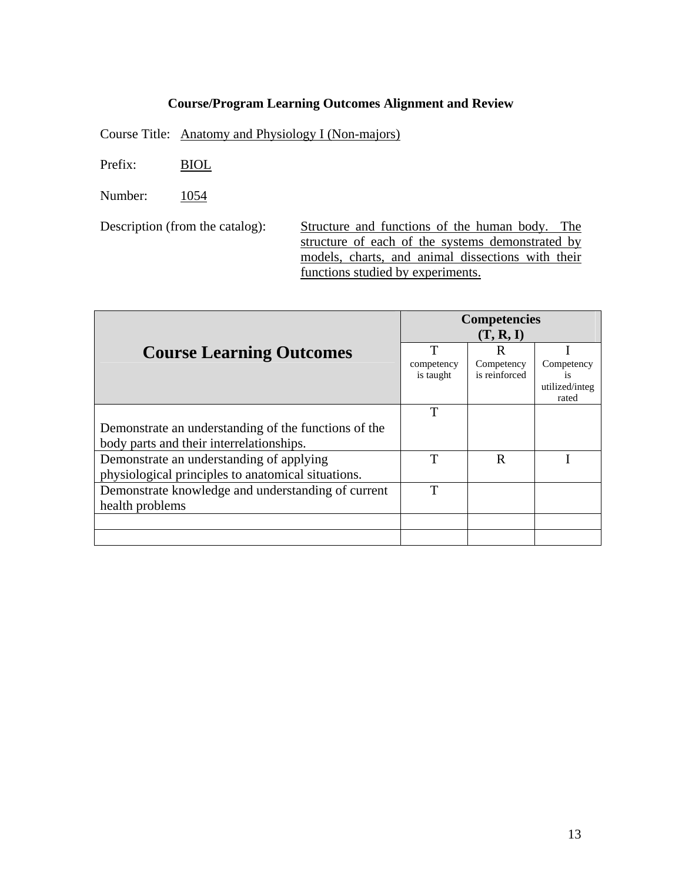Course Title: Anatomy and Physiology I (Non-majors)

Prefix: BIOL

Number: 1054

Description (from the catalog): Structure and functions of the human body. The structure of each of the systems demonstrated by models, charts, and animal dissections with their functions studied by experiments.

|                                                      |                         | <b>Competencies</b><br>(T, R, I) |                         |
|------------------------------------------------------|-------------------------|----------------------------------|-------------------------|
| <b>Course Learning Outcomes</b>                      | $\mathbf T$             | R                                |                         |
|                                                      | competency<br>is taught | Competency<br>is reinforced      | Competency<br><i>is</i> |
|                                                      |                         |                                  | utilized/integ<br>rated |
|                                                      | T                       |                                  |                         |
| Demonstrate an understanding of the functions of the |                         |                                  |                         |
| body parts and their interrelationships.             |                         |                                  |                         |
| Demonstrate an understanding of applying             | T                       | R                                |                         |
| physiological principles to anatomical situations.   |                         |                                  |                         |
| Demonstrate knowledge and understanding of current   | T                       |                                  |                         |
| health problems                                      |                         |                                  |                         |
|                                                      |                         |                                  |                         |
|                                                      |                         |                                  |                         |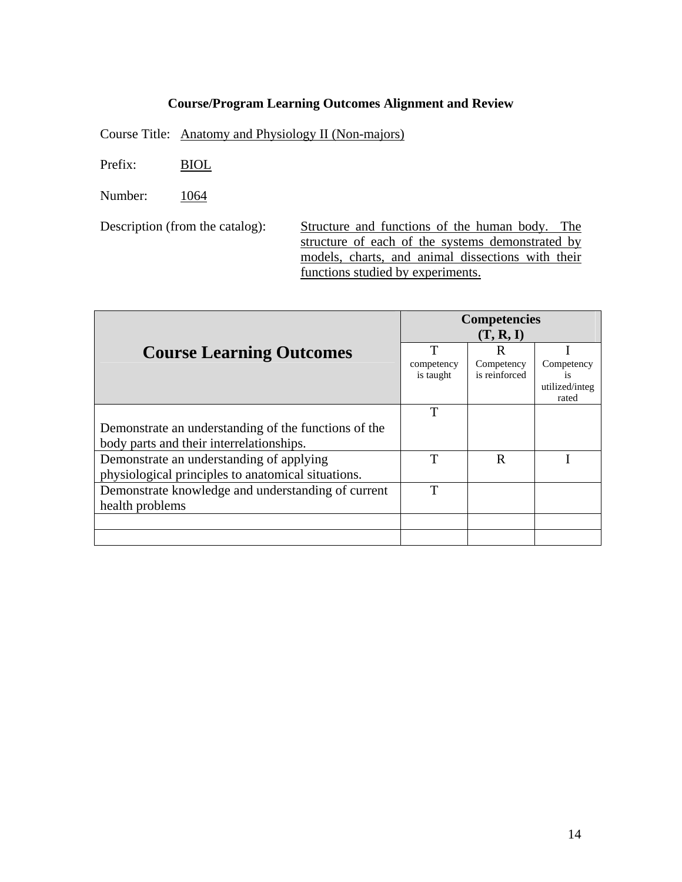Course Title: Anatomy and Physiology II (Non-majors)

Prefix: BIOL

Number: 1064

Description (from the catalog): Structure and functions of the human body. The structure of each of the systems demonstrated by models, charts, and animal dissections with their functions studied by experiments.

|                                                      |                         | <b>Competencies</b><br>(T, R, I) |                         |
|------------------------------------------------------|-------------------------|----------------------------------|-------------------------|
| <b>Course Learning Outcomes</b>                      | $\mathbf T$             | R                                |                         |
|                                                      | competency<br>is taught | Competency<br>is reinforced      | Competency<br><i>is</i> |
|                                                      |                         |                                  | utilized/integ<br>rated |
|                                                      | T                       |                                  |                         |
| Demonstrate an understanding of the functions of the |                         |                                  |                         |
| body parts and their interrelationships.             |                         |                                  |                         |
| Demonstrate an understanding of applying             | T                       | R                                |                         |
| physiological principles to anatomical situations.   |                         |                                  |                         |
| Demonstrate knowledge and understanding of current   | T                       |                                  |                         |
| health problems                                      |                         |                                  |                         |
|                                                      |                         |                                  |                         |
|                                                      |                         |                                  |                         |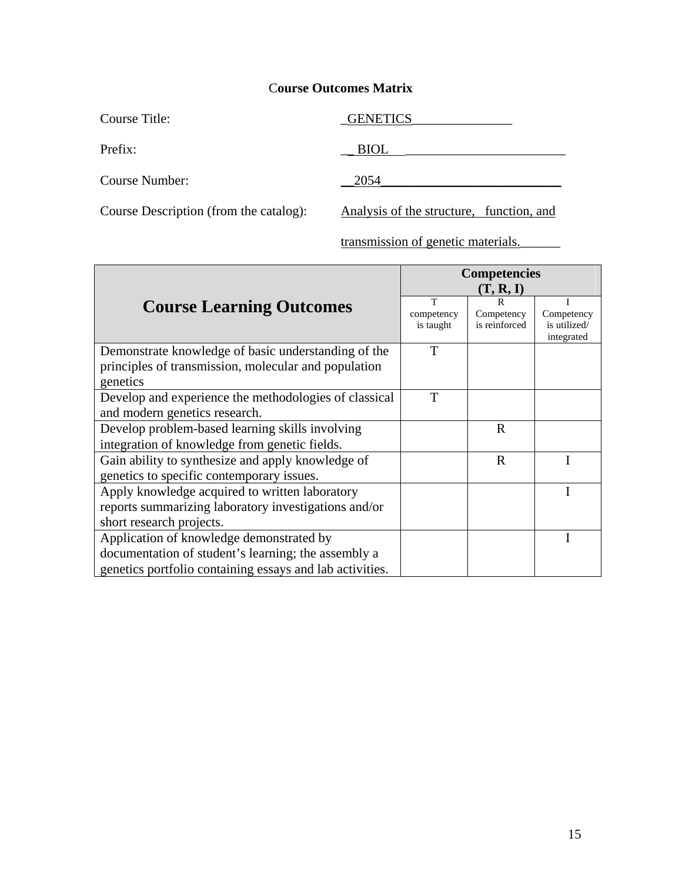| Course Title:         | <b>GENETICS</b> |
|-----------------------|-----------------|
| Prefix:               | <b>BIOL</b>     |
| <b>Course Number:</b> | 2054            |

Course Description (from the catalog): Analysis of the structure, function, and

transmission of genetic materials.\_\_\_\_\_\_

|                                                                                                                                                             | <b>Competencies</b><br>(T, R, I) |                                  |                                          |
|-------------------------------------------------------------------------------------------------------------------------------------------------------------|----------------------------------|----------------------------------|------------------------------------------|
| <b>Course Learning Outcomes</b>                                                                                                                             | т<br>competency<br>is taught     | R<br>Competency<br>is reinforced | Competency<br>is utilized/<br>integrated |
| Demonstrate knowledge of basic understanding of the<br>principles of transmission, molecular and population<br>genetics                                     | T                                |                                  |                                          |
| Develop and experience the methodologies of classical<br>and modern genetics research.                                                                      | T                                |                                  |                                          |
| Develop problem-based learning skills involving<br>integration of knowledge from genetic fields.                                                            |                                  | $\mathbf R$                      |                                          |
| Gain ability to synthesize and apply knowledge of<br>genetics to specific contemporary issues.                                                              |                                  | $\mathbf R$                      |                                          |
| Apply knowledge acquired to written laboratory<br>reports summarizing laboratory investigations and/or<br>short research projects.                          |                                  |                                  |                                          |
| Application of knowledge demonstrated by<br>documentation of student's learning; the assembly a<br>genetics portfolio containing essays and lab activities. |                                  |                                  |                                          |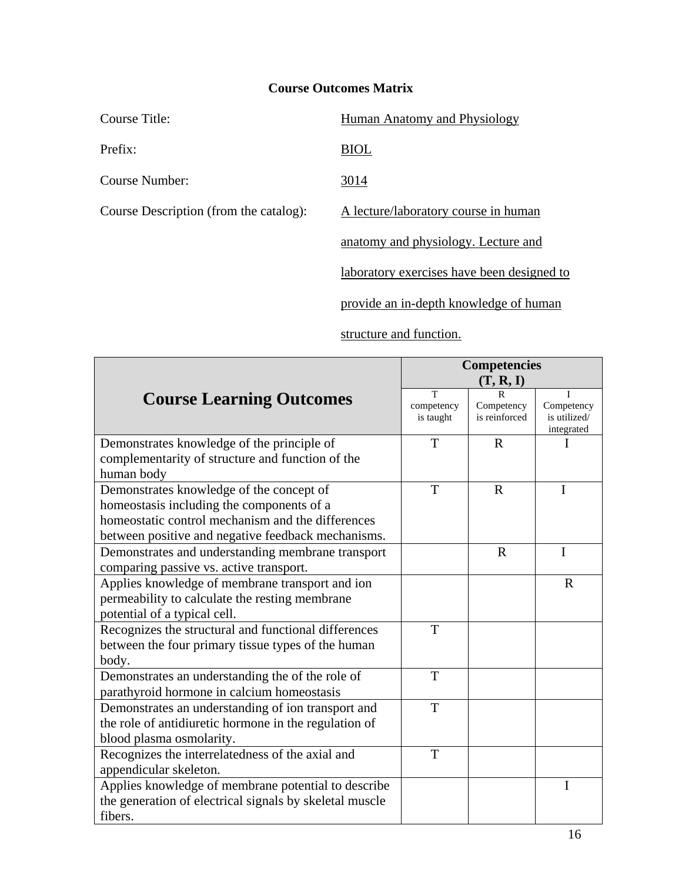| Course Title:                          | Human Anatomy and Physiology               |
|----------------------------------------|--------------------------------------------|
| Prefix:                                | <b>BIOL</b>                                |
| Course Number:                         | 3014                                       |
| Course Description (from the catalog): | A lecture/laboratory course in human       |
|                                        | anatomy and physiology. Lecture and        |
|                                        | laboratory exercises have been designed to |

provide an in-depth knowledge of human

### structure and function.

|                                                                                                | <b>Competencies</b> |               |              |
|------------------------------------------------------------------------------------------------|---------------------|---------------|--------------|
|                                                                                                |                     | (T, R, I)     |              |
| <b>Course Learning Outcomes</b>                                                                | T<br>competency     | Competency    | Competency   |
|                                                                                                | is taught           | is reinforced | is utilized/ |
|                                                                                                | T                   | $\mathbf R$   | integrated   |
| Demonstrates knowledge of the principle of<br>complementarity of structure and function of the |                     |               |              |
| human body                                                                                     |                     |               |              |
| Demonstrates knowledge of the concept of                                                       | T                   | $\mathbf{R}$  | I            |
|                                                                                                |                     |               |              |
| homeostasis including the components of a<br>homeostatic control mechanism and the differences |                     |               |              |
|                                                                                                |                     |               |              |
| between positive and negative feedback mechanisms.                                             |                     | $\mathbf R$   | $\mathbf I$  |
| Demonstrates and understanding membrane transport                                              |                     |               |              |
| comparing passive vs. active transport.                                                        |                     |               |              |
| Applies knowledge of membrane transport and ion                                                |                     |               | $\mathbf R$  |
| permeability to calculate the resting membrane                                                 |                     |               |              |
| potential of a typical cell.                                                                   |                     |               |              |
| Recognizes the structural and functional differences                                           | T                   |               |              |
| between the four primary tissue types of the human                                             |                     |               |              |
| body.                                                                                          |                     |               |              |
| Demonstrates an understanding the of the role of                                               | T                   |               |              |
| parathyroid hormone in calcium homeostasis                                                     |                     |               |              |
| Demonstrates an understanding of ion transport and                                             | T                   |               |              |
| the role of antidiuretic hormone in the regulation of                                          |                     |               |              |
| blood plasma osmolarity.                                                                       |                     |               |              |
| Recognizes the interrelatedness of the axial and                                               | T                   |               |              |
| appendicular skeleton.                                                                         |                     |               |              |
| Applies knowledge of membrane potential to describe                                            |                     |               | $\mathbf I$  |
| the generation of electrical signals by skeletal muscle                                        |                     |               |              |
| fibers.                                                                                        |                     |               |              |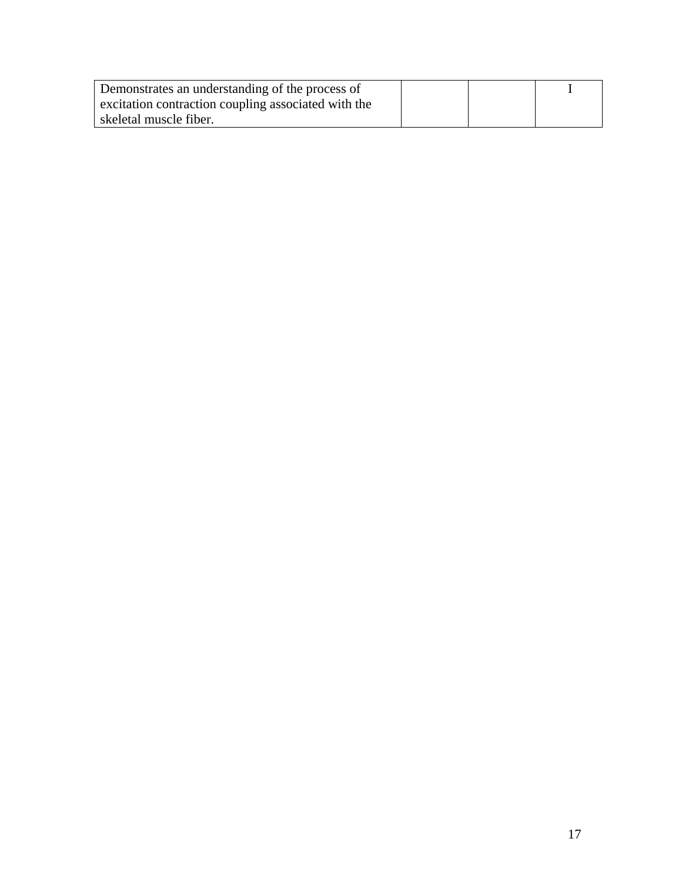| Demonstrates an understanding of the process of     |  |  |
|-----------------------------------------------------|--|--|
| excitation contraction coupling associated with the |  |  |
| skeletal muscle fiber.                              |  |  |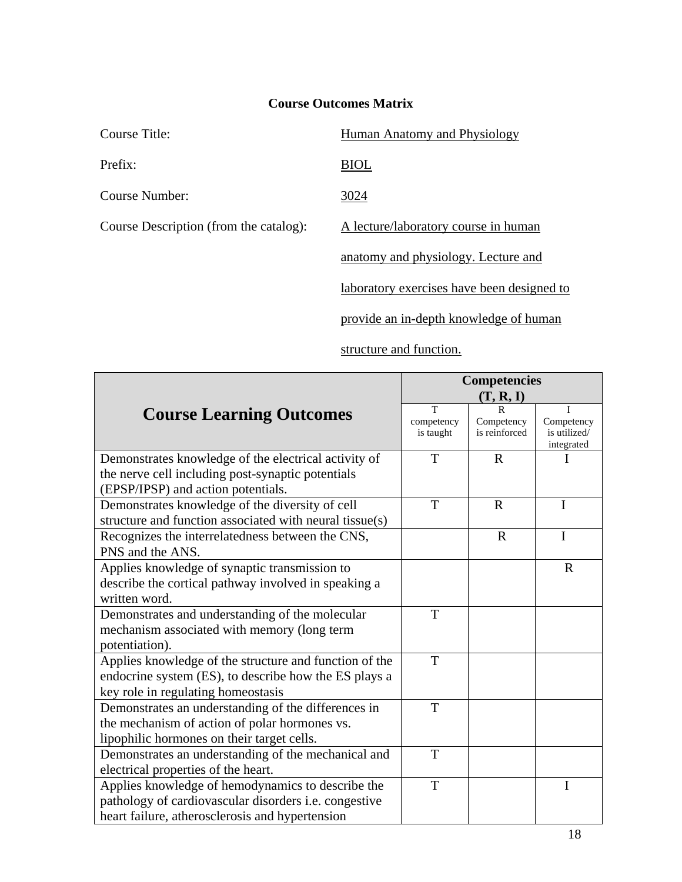| Course Title:                          | <b>Human Anatomy and Physiology</b>        |
|----------------------------------------|--------------------------------------------|
| Prefix:                                | <b>BIOL</b>                                |
| Course Number:                         | 3024                                       |
| Course Description (from the catalog): | A lecture/laboratory course in human       |
|                                        | anatomy and physiology. Lecture and        |
|                                        | laboratory exercises have been designed to |
|                                        | provide an in-depth knowledge of human     |

structure and function.

|                                                                                                                                                               | <b>Competencies</b>          |                                  |                                               |
|---------------------------------------------------------------------------------------------------------------------------------------------------------------|------------------------------|----------------------------------|-----------------------------------------------|
|                                                                                                                                                               |                              | (T, R, I)                        |                                               |
| <b>Course Learning Outcomes</b>                                                                                                                               | T<br>competency<br>is taught | R<br>Competency<br>is reinforced | T<br>Competency<br>is utilized/<br>integrated |
| Demonstrates knowledge of the electrical activity of<br>the nerve cell including post-synaptic potentials<br>(EPSP/IPSP) and action potentials.               | T                            | $\mathbf{R}$                     | I                                             |
| Demonstrates knowledge of the diversity of cell<br>structure and function associated with neural tissue(s)                                                    | T                            | $\mathbf{R}$                     | $\mathbf I$                                   |
| Recognizes the interrelatedness between the CNS,<br>PNS and the ANS.                                                                                          |                              | $\mathbf R$                      | $\mathbf I$                                   |
| Applies knowledge of synaptic transmission to<br>describe the cortical pathway involved in speaking a<br>written word.                                        |                              |                                  | $\mathbf R$                                   |
| Demonstrates and understanding of the molecular<br>mechanism associated with memory (long term<br>potentiation).                                              | T                            |                                  |                                               |
| Applies knowledge of the structure and function of the<br>endocrine system (ES), to describe how the ES plays a<br>key role in regulating homeostasis         | T                            |                                  |                                               |
| Demonstrates an understanding of the differences in<br>the mechanism of action of polar hormones vs.<br>lipophilic hormones on their target cells.            | T                            |                                  |                                               |
| Demonstrates an understanding of the mechanical and<br>electrical properties of the heart.                                                                    | T                            |                                  |                                               |
| Applies knowledge of hemodynamics to describe the<br>pathology of cardiovascular disorders i.e. congestive<br>heart failure, atherosclerosis and hypertension | T                            |                                  | $\mathbf I$                                   |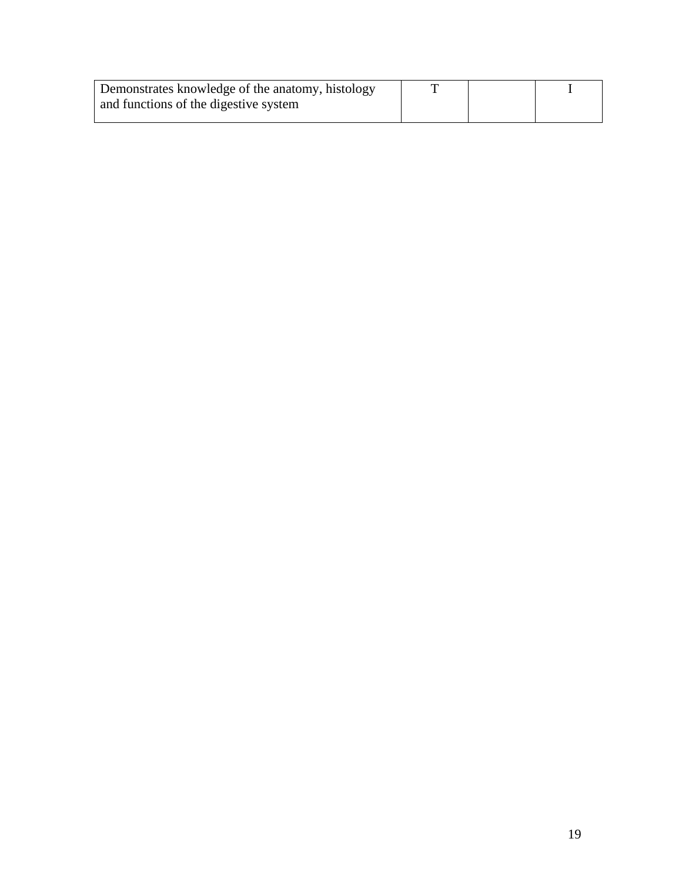| Demonstrates knowledge of the anatomy, histology |  |  |
|--------------------------------------------------|--|--|
| and functions of the digestive system            |  |  |
|                                                  |  |  |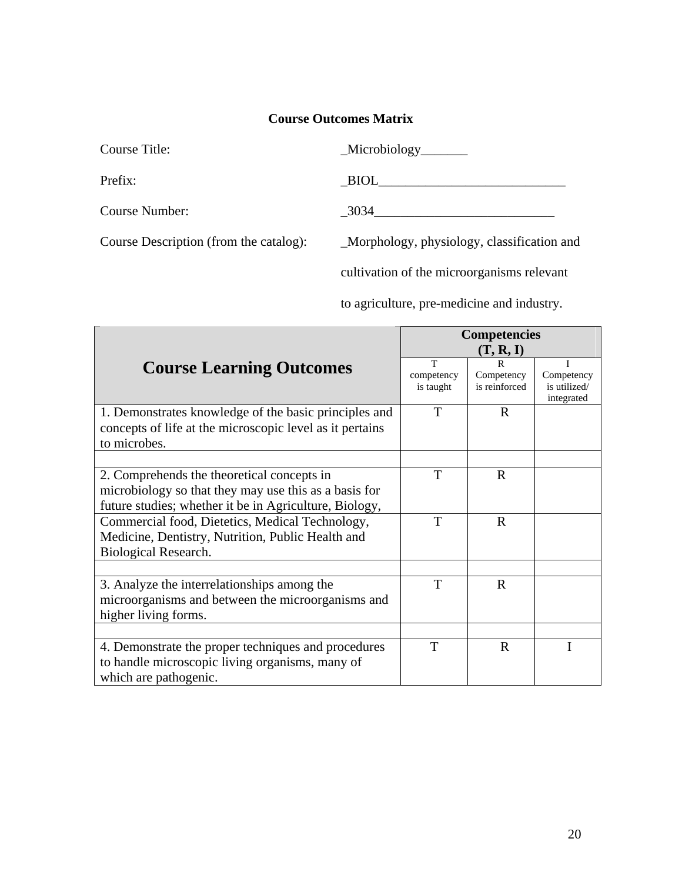| Course Title:  | _Microbiology_ |
|----------------|----------------|
| Prefix:        | <b>BIOL</b>    |
| Course Number: | 3034           |

Course Description (from the catalog): \_Morphology, physiology, classification and

cultivation of the microorganisms relevant

to agriculture, pre-medicine and industry.

|                                                          |                         | <b>Competencies</b>         |                            |
|----------------------------------------------------------|-------------------------|-----------------------------|----------------------------|
|                                                          |                         | (T, R, I)                   |                            |
| <b>Course Learning Outcomes</b>                          | T                       | R                           |                            |
|                                                          | competency<br>is taught | Competency<br>is reinforced | Competency<br>is utilized/ |
|                                                          |                         |                             | integrated                 |
| 1. Demonstrates knowledge of the basic principles and    | T                       | $\mathbf R$                 |                            |
| concepts of life at the microscopic level as it pertains |                         |                             |                            |
| to microbes.                                             |                         |                             |                            |
|                                                          |                         |                             |                            |
| 2. Comprehends the theoretical concepts in               | T                       | $\mathbf R$                 |                            |
| microbiology so that they may use this as a basis for    |                         |                             |                            |
| future studies; whether it be in Agriculture, Biology,   |                         |                             |                            |
| Commercial food, Dietetics, Medical Technology,          | T                       | $\mathbf R$                 |                            |
| Medicine, Dentistry, Nutrition, Public Health and        |                         |                             |                            |
| Biological Research.                                     |                         |                             |                            |
|                                                          |                         |                             |                            |
| 3. Analyze the interrelationships among the              | T                       | $\mathbf R$                 |                            |
| microorganisms and between the microorganisms and        |                         |                             |                            |
| higher living forms.                                     |                         |                             |                            |
|                                                          |                         |                             |                            |
| 4. Demonstrate the proper techniques and procedures      | T                       | $\mathbf{R}$                |                            |
| to handle microscopic living organisms, many of          |                         |                             |                            |
| which are pathogenic.                                    |                         |                             |                            |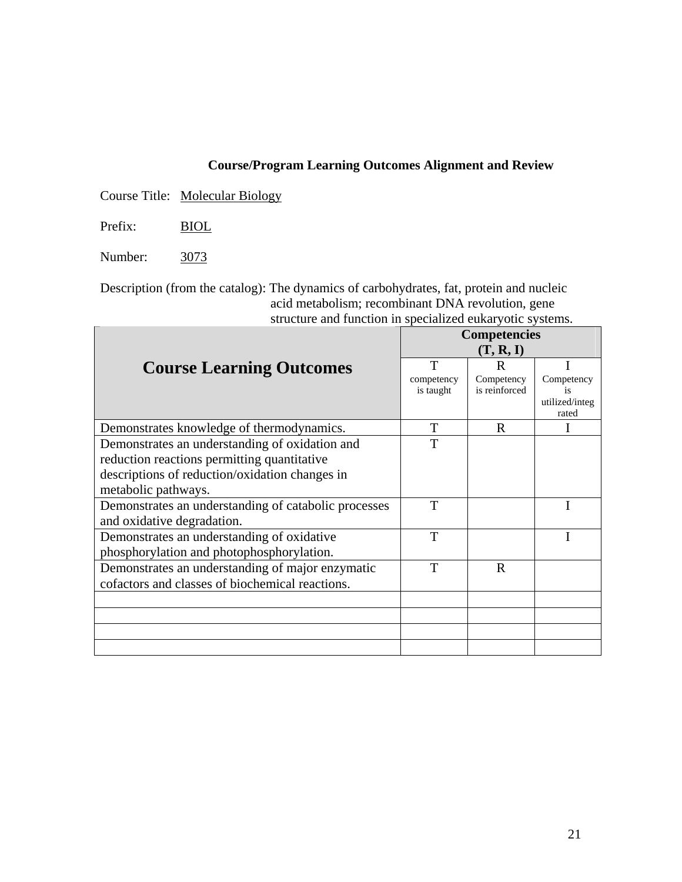Course Title: Molecular Biology

Prefix: BIOL

Number: 3073

Description (from the catalog): The dynamics of carbohydrates, fat, protein and nucleic acid metabolism; recombinant DNA revolution, gene structure and function in specialized eukaryotic systems.

|                                                      | <b>Competencies</b> |               |                      |
|------------------------------------------------------|---------------------|---------------|----------------------|
|                                                      | (T, R, I)           |               |                      |
| <b>Course Learning Outcomes</b>                      | T                   | R             |                      |
|                                                      | competency          | Competency    | Competency           |
|                                                      | is taught           | is reinforced | is<br>utilized/integ |
|                                                      |                     |               | rated                |
| Demonstrates knowledge of thermodynamics.            | T                   | R             |                      |
| Demonstrates an understanding of oxidation and       | T                   |               |                      |
| reduction reactions permitting quantitative          |                     |               |                      |
| descriptions of reduction/oxidation changes in       |                     |               |                      |
| metabolic pathways.                                  |                     |               |                      |
| Demonstrates an understanding of catabolic processes | T                   |               |                      |
| and oxidative degradation.                           |                     |               |                      |
| Demonstrates an understanding of oxidative           | T                   |               |                      |
| phosphorylation and photophosphorylation.            |                     |               |                      |
| Demonstrates an understanding of major enzymatic     | T                   | R             |                      |
| cofactors and classes of biochemical reactions.      |                     |               |                      |
|                                                      |                     |               |                      |
|                                                      |                     |               |                      |
|                                                      |                     |               |                      |
|                                                      |                     |               |                      |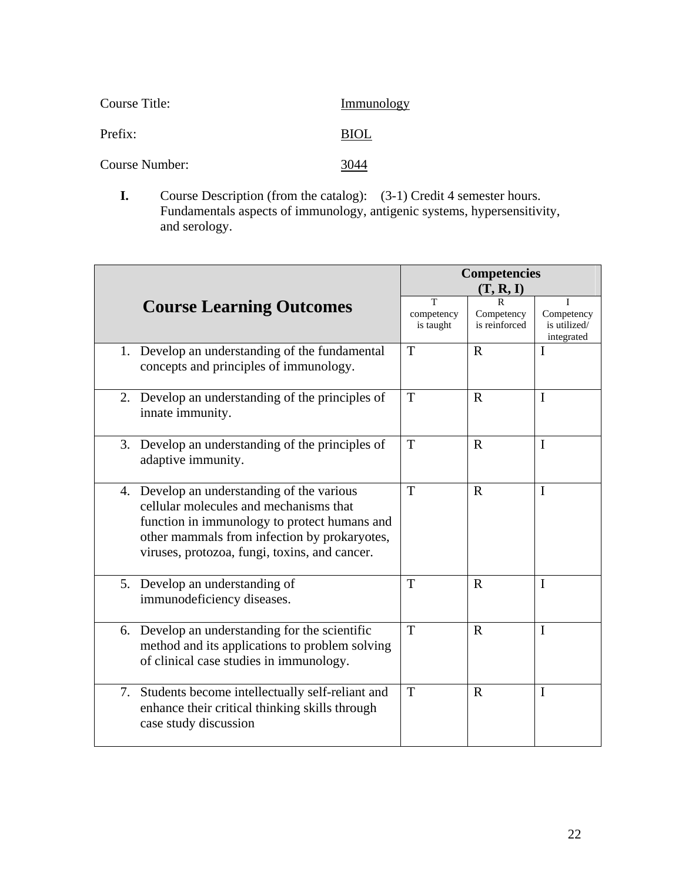| Course Title:  | Immunology |
|----------------|------------|
| Prefix:        | BIOL       |
| Course Number: | 3044       |

**I.** Course Description (from the catalog):  $(3-1)$  Credit 4 semester hours. Fundamentals aspects of immunology, antigenic systems, hypersensitivity, and serology.

|                                                                                                                                                                                                                                       |                              | <b>Competencies</b><br>(T, R, I) |                                          |
|---------------------------------------------------------------------------------------------------------------------------------------------------------------------------------------------------------------------------------------|------------------------------|----------------------------------|------------------------------------------|
| <b>Course Learning Outcomes</b>                                                                                                                                                                                                       | T<br>competency<br>is taught | R<br>Competency<br>is reinforced | Competency<br>is utilized/<br>integrated |
| 1. Develop an understanding of the fundamental<br>concepts and principles of immunology.                                                                                                                                              | T                            | $\mathbf R$                      | $\bf{l}$                                 |
| 2. Develop an understanding of the principles of<br>innate immunity.                                                                                                                                                                  | T                            | $\mathbf R$                      | $\mathbf I$                              |
| 3. Develop an understanding of the principles of<br>adaptive immunity.                                                                                                                                                                | T                            | $\mathbf R$                      | $\mathbf I$                              |
| 4. Develop an understanding of the various<br>cellular molecules and mechanisms that<br>function in immunology to protect humans and<br>other mammals from infection by prokaryotes,<br>viruses, protozoa, fungi, toxins, and cancer. | T                            | $\mathbf R$                      | $\mathbf I$                              |
| 5. Develop an understanding of<br>immunodeficiency diseases.                                                                                                                                                                          | T                            | $\mathbf R$                      | I                                        |
| Develop an understanding for the scientific<br>6.<br>method and its applications to problem solving<br>of clinical case studies in immunology.                                                                                        | T                            | $\mathbf R$                      | $\mathbf I$                              |
| Students become intellectually self-reliant and<br>7.<br>enhance their critical thinking skills through<br>case study discussion                                                                                                      | T                            | $\mathbf R$                      | I                                        |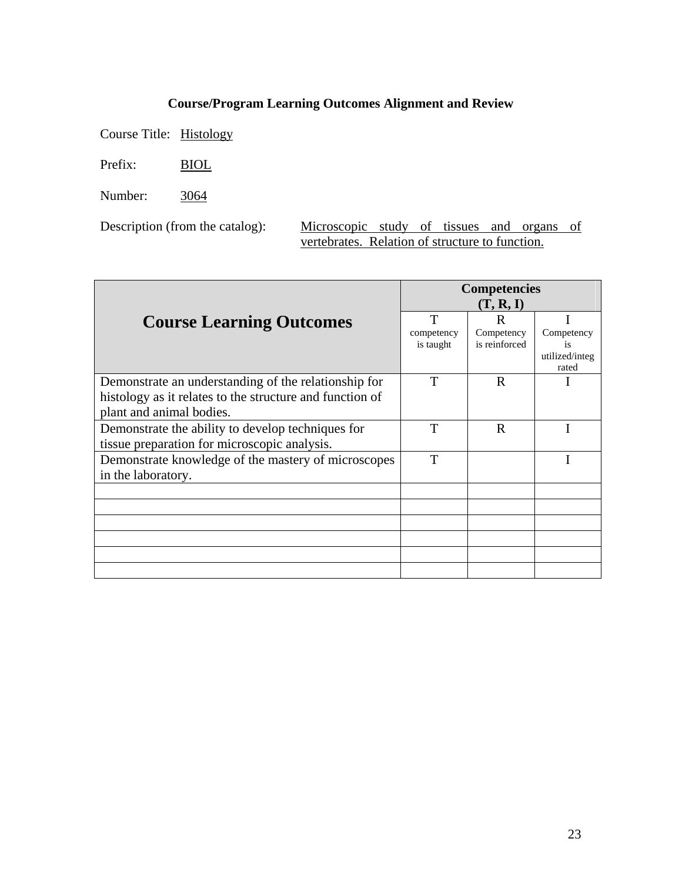Course Title: Histology

Prefix: BIOL

Number: 3064

Description (from the catalog): Microscopic study of tissues and organs of vertebrates. Relation of structure to function.

|                                                          |            | <b>Competencies</b><br>(T, R, I) |                         |
|----------------------------------------------------------|------------|----------------------------------|-------------------------|
| <b>Course Learning Outcomes</b>                          | T          | R                                |                         |
|                                                          | competency | Competency                       | Competency              |
|                                                          | is taught  | is reinforced                    | is                      |
|                                                          |            |                                  | utilized/integ<br>rated |
| Demonstrate an understanding of the relationship for     | T          | $\mathbf R$                      |                         |
| histology as it relates to the structure and function of |            |                                  |                         |
| plant and animal bodies.                                 |            |                                  |                         |
| Demonstrate the ability to develop techniques for        | T          | $\mathbf R$                      |                         |
| tissue preparation for microscopic analysis.             |            |                                  |                         |
| Demonstrate knowledge of the mastery of microscopes      | T          |                                  |                         |
| in the laboratory.                                       |            |                                  |                         |
|                                                          |            |                                  |                         |
|                                                          |            |                                  |                         |
|                                                          |            |                                  |                         |
|                                                          |            |                                  |                         |
|                                                          |            |                                  |                         |
|                                                          |            |                                  |                         |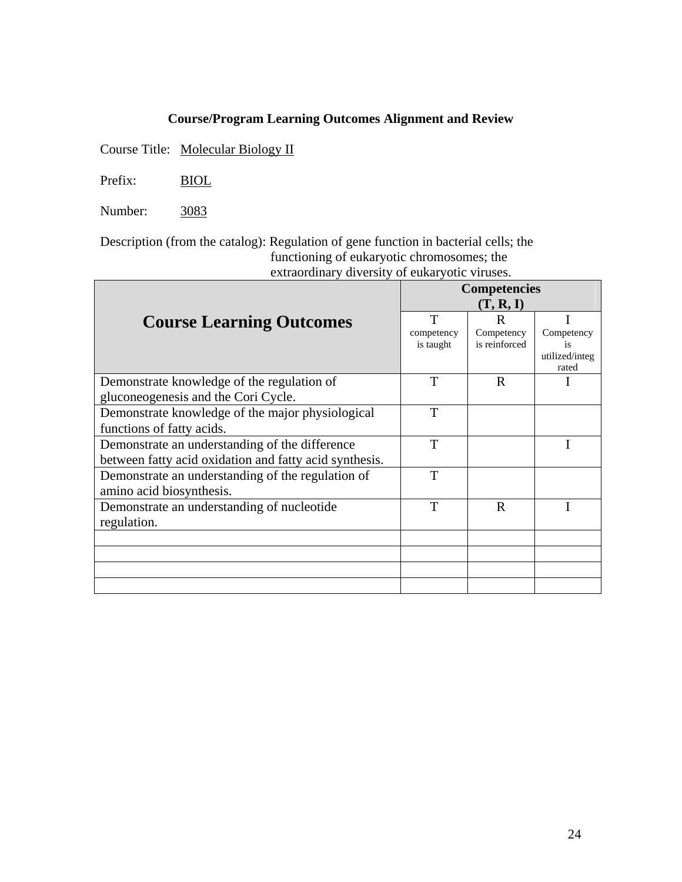Course Title: Molecular Biology II

Prefix: BIOL

Number: 3083

Description (from the catalog): Regulation of gene function in bacterial cells; the functioning of eukaryotic chromosomes; the extraordinary diversity of eukaryotic viruses.

|                                                        | <b>Competencies</b> |               |                |
|--------------------------------------------------------|---------------------|---------------|----------------|
|                                                        |                     | (T, R, I)     |                |
| <b>Course Learning Outcomes</b>                        | T                   | R             |                |
|                                                        | competency          | Competency    | Competency     |
|                                                        | is taught           | is reinforced | utilized/integ |
|                                                        |                     |               | rated          |
| Demonstrate knowledge of the regulation of             | T                   | $\mathbf R$   |                |
| gluconeogenesis and the Cori Cycle.                    |                     |               |                |
| Demonstrate knowledge of the major physiological       | T                   |               |                |
| functions of fatty acids.                              |                     |               |                |
| Demonstrate an understanding of the difference         | T                   |               |                |
| between fatty acid oxidation and fatty acid synthesis. |                     |               |                |
| Demonstrate an understanding of the regulation of      | T                   |               |                |
| amino acid biosynthesis.                               |                     |               |                |
| Demonstrate an understanding of nucleotide             | T                   | R             |                |
| regulation.                                            |                     |               |                |
|                                                        |                     |               |                |
|                                                        |                     |               |                |
|                                                        |                     |               |                |
|                                                        |                     |               |                |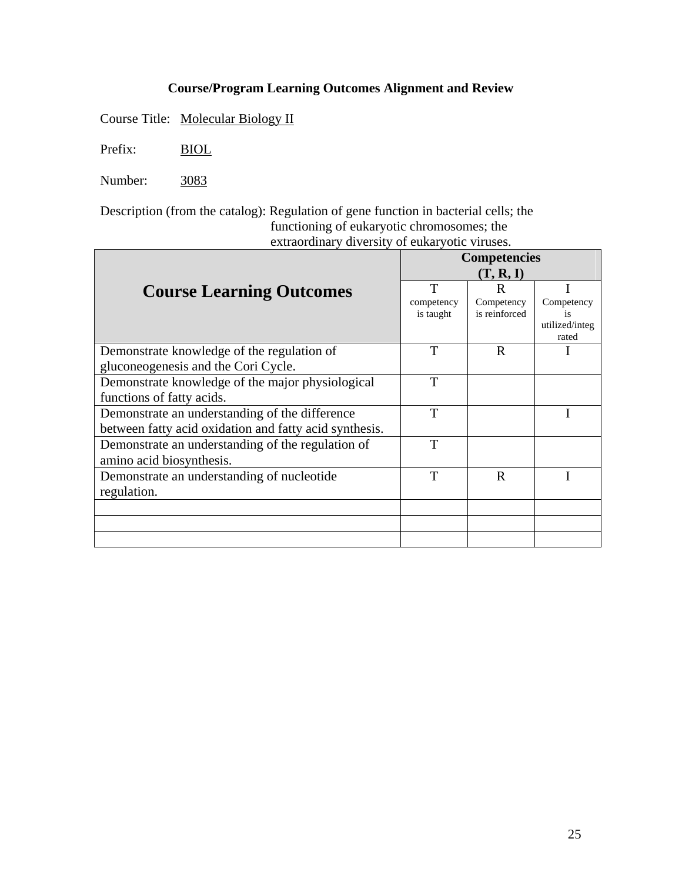Course Title: Molecular Biology II

Prefix: BIOL

Number: 3083

Description (from the catalog): Regulation of gene function in bacterial cells; the functioning of eukaryotic chromosomes; the extraordinary diversity of eukaryotic viruses.

|                                                        | <b>Competencies</b> |               |                      |
|--------------------------------------------------------|---------------------|---------------|----------------------|
|                                                        | (T, R, I)           |               |                      |
| <b>Course Learning Outcomes</b>                        | т                   | R             |                      |
|                                                        | competency          | Competency    | Competency           |
|                                                        | is taught           | is reinforced | is<br>utilized/integ |
|                                                        |                     |               | rated                |
| Demonstrate knowledge of the regulation of             | T                   | $\mathbb{R}$  |                      |
| gluconeogenesis and the Cori Cycle.                    |                     |               |                      |
| Demonstrate knowledge of the major physiological       | T                   |               |                      |
| functions of fatty acids.                              |                     |               |                      |
| Demonstrate an understanding of the difference         | T                   |               |                      |
| between fatty acid oxidation and fatty acid synthesis. |                     |               |                      |
| Demonstrate an understanding of the regulation of      | T                   |               |                      |
| amino acid biosynthesis.                               |                     |               |                      |
| Demonstrate an understanding of nucleotide             | T                   | R             |                      |
| regulation.                                            |                     |               |                      |
|                                                        |                     |               |                      |
|                                                        |                     |               |                      |
|                                                        |                     |               |                      |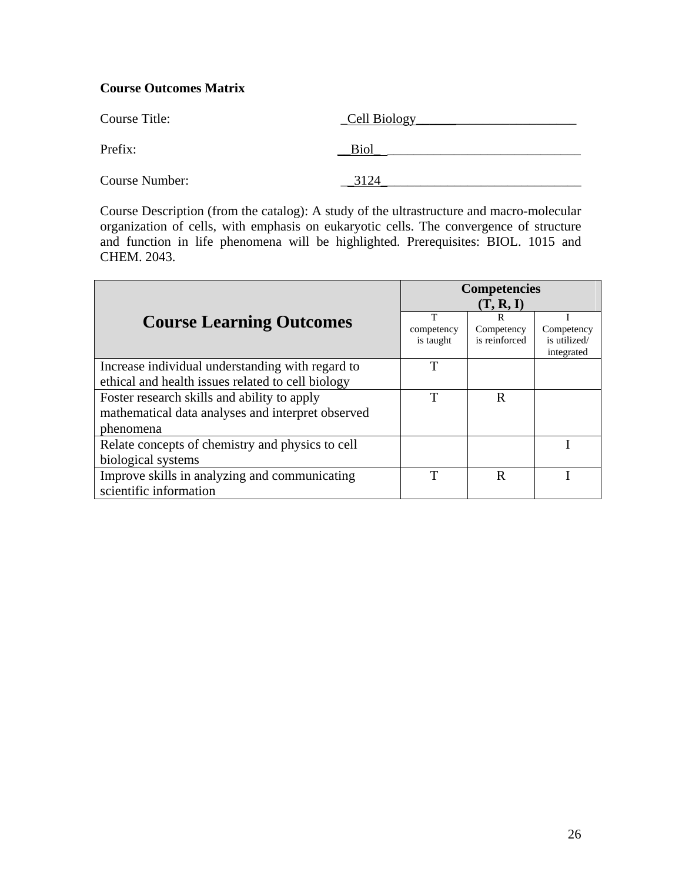| Course Title:         | Cell Biology |
|-----------------------|--------------|
| Prefix:               | <b>Biol</b>  |
| <b>Course Number:</b> | 3124         |

Course Description (from the catalog): A study of the ultrastructure and macro-molecular organization of cells, with emphasis on eukaryotic cells. The convergence of structure and function in life phenomena will be highlighted. Prerequisites: BIOL. 1015 and CHEM. 2043.

|                                                                                                               | <b>Competencies</b>          |                                               |                                          |
|---------------------------------------------------------------------------------------------------------------|------------------------------|-----------------------------------------------|------------------------------------------|
| <b>Course Learning Outcomes</b>                                                                               | T<br>competency<br>is taught | (T, R, I)<br>R<br>Competency<br>is reinforced | Competency<br>is utilized/<br>integrated |
| Increase individual understanding with regard to<br>ethical and health issues related to cell biology         | T                            |                                               |                                          |
| Foster research skills and ability to apply<br>mathematical data analyses and interpret observed<br>phenomena | T                            | R                                             |                                          |
| Relate concepts of chemistry and physics to cell<br>biological systems                                        |                              |                                               |                                          |
| Improve skills in analyzing and communicating<br>scientific information                                       | T                            | R                                             |                                          |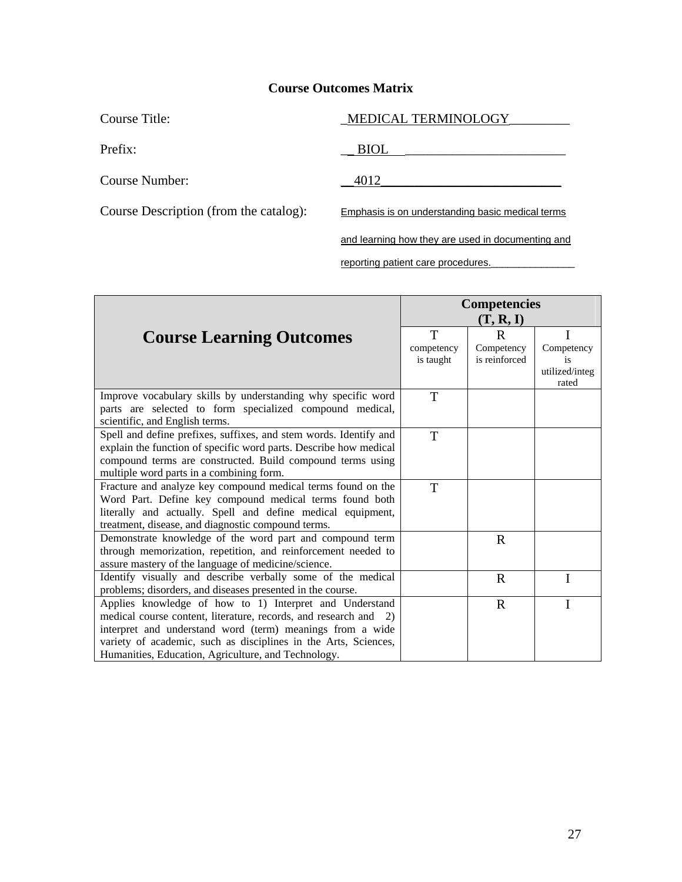| Course Title:                          | MEDICAL TERMINOLOGY                               |
|----------------------------------------|---------------------------------------------------|
| Prefix:                                | <b>BIOL</b>                                       |
| Course Number:                         | 4012                                              |
| Course Description (from the catalog): | Emphasis is on understanding basic medical terms  |
|                                        | and learning how they are used in documenting and |

reporting patient care procedures.

|                                                                                                                                                                                                                                                                                                                    | <b>Competencies</b><br>(T, R, I) |                             |                                             |
|--------------------------------------------------------------------------------------------------------------------------------------------------------------------------------------------------------------------------------------------------------------------------------------------------------------------|----------------------------------|-----------------------------|---------------------------------------------|
|                                                                                                                                                                                                                                                                                                                    | T                                | $\mathbf R$                 |                                             |
| <b>Course Learning Outcomes</b>                                                                                                                                                                                                                                                                                    | competency<br>is taught          | Competency<br>is reinforced | Competency<br>18<br>utilized/integ<br>rated |
| Improve vocabulary skills by understanding why specific word<br>parts are selected to form specialized compound medical,<br>scientific, and English terms.                                                                                                                                                         | T                                |                             |                                             |
| Spell and define prefixes, suffixes, and stem words. Identify and<br>explain the function of specific word parts. Describe how medical<br>compound terms are constructed. Build compound terms using<br>multiple word parts in a combining form.                                                                   | T                                |                             |                                             |
| Fracture and analyze key compound medical terms found on the<br>Word Part. Define key compound medical terms found both<br>literally and actually. Spell and define medical equipment,<br>treatment, disease, and diagnostic compound terms.                                                                       | T                                |                             |                                             |
| Demonstrate knowledge of the word part and compound term<br>through memorization, repetition, and reinforcement needed to<br>assure mastery of the language of medicine/science.                                                                                                                                   |                                  | $\mathbf R$                 |                                             |
| Identify visually and describe verbally some of the medical<br>problems; disorders, and diseases presented in the course.                                                                                                                                                                                          |                                  | $\mathbf R$                 | I                                           |
| Applies knowledge of how to 1) Interpret and Understand<br>medical course content, literature, records, and research and 2)<br>interpret and understand word (term) meanings from a wide<br>variety of academic, such as disciplines in the Arts, Sciences,<br>Humanities, Education, Agriculture, and Technology. |                                  | $\mathbf R$                 |                                             |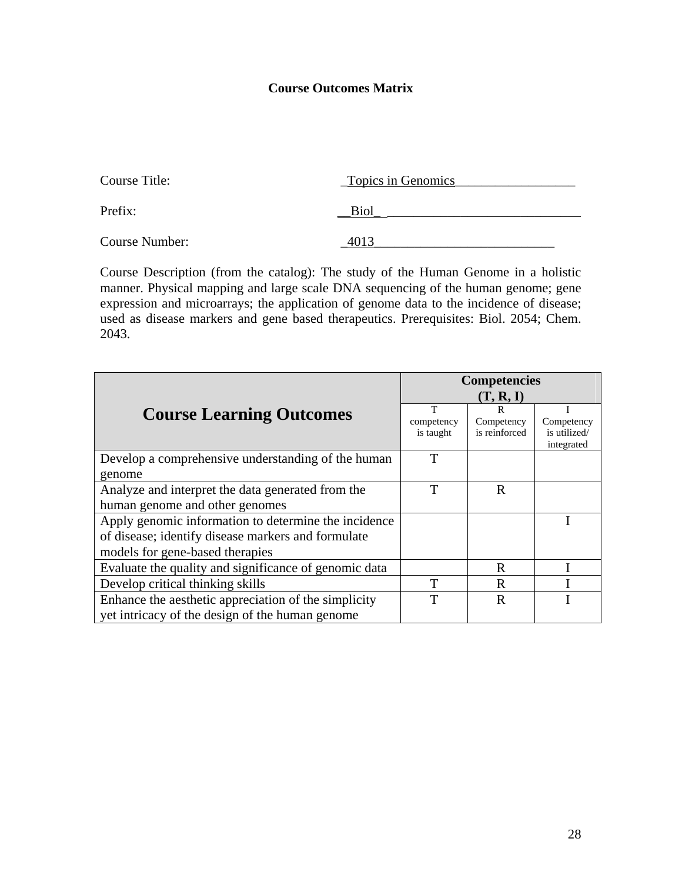| Course Title:  | Topics in Genomics |
|----------------|--------------------|
| Prefix:        | Biol               |
| Course Number: |                    |

Course Description (from the catalog): The study of the Human Genome in a holistic manner. Physical mapping and large scale DNA sequencing of the human genome; gene expression and microarrays; the application of genome data to the incidence of disease; used as disease markers and gene based therapeutics. Prerequisites: Biol. 2054; Chem. 2043.

|                                                       | <b>Competencies</b> |               |              |  |  |
|-------------------------------------------------------|---------------------|---------------|--------------|--|--|
|                                                       | (T, R, I)           |               |              |  |  |
| <b>Course Learning Outcomes</b>                       | T                   | R             |              |  |  |
|                                                       | competency          | Competency    | Competency   |  |  |
|                                                       | is taught           | is reinforced | is utilized/ |  |  |
|                                                       |                     |               | integrated   |  |  |
| Develop a comprehensive understanding of the human    | T                   |               |              |  |  |
| genome                                                |                     |               |              |  |  |
| Analyze and interpret the data generated from the     | T                   | $\mathbf R$   |              |  |  |
| human genome and other genomes                        |                     |               |              |  |  |
| Apply genomic information to determine the incidence  |                     |               |              |  |  |
| of disease; identify disease markers and formulate    |                     |               |              |  |  |
| models for gene-based therapies                       |                     |               |              |  |  |
| Evaluate the quality and significance of genomic data |                     | R             |              |  |  |
| Develop critical thinking skills                      | T                   | R             |              |  |  |
| Enhance the aesthetic appreciation of the simplicity  | T                   | $\mathbf R$   |              |  |  |
| yet intricacy of the design of the human genome       |                     |               |              |  |  |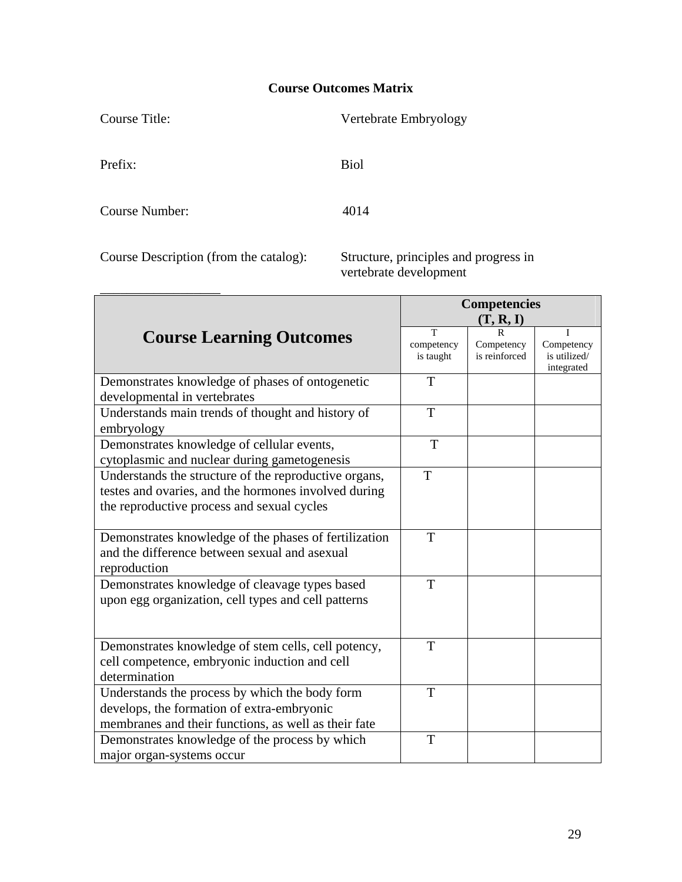| Course Title:                          | Vertebrate Embryology                                           |
|----------------------------------------|-----------------------------------------------------------------|
| Prefix:                                | <b>Biol</b>                                                     |
| Course Number:                         | 4014                                                            |
| Course Description (from the catalog): | Structure, principles and progress in<br>vertebrate development |

|                                                                                                                                                             | <b>Competencies</b><br>(T, R, I) |                             |                                          |  |  |
|-------------------------------------------------------------------------------------------------------------------------------------------------------------|----------------------------------|-----------------------------|------------------------------------------|--|--|
| <b>Course Learning Outcomes</b>                                                                                                                             | T<br>competency<br>is taught     | Competency<br>is reinforced | Competency<br>is utilized/<br>integrated |  |  |
| Demonstrates knowledge of phases of ontogenetic<br>developmental in vertebrates                                                                             | T                                |                             |                                          |  |  |
| Understands main trends of thought and history of<br>embryology                                                                                             | T                                |                             |                                          |  |  |
| Demonstrates knowledge of cellular events,<br>cytoplasmic and nuclear during gametogenesis                                                                  | T                                |                             |                                          |  |  |
| Understands the structure of the reproductive organs,<br>testes and ovaries, and the hormones involved during<br>the reproductive process and sexual cycles | T                                |                             |                                          |  |  |
| Demonstrates knowledge of the phases of fertilization<br>and the difference between sexual and asexual<br>reproduction                                      | T                                |                             |                                          |  |  |
| Demonstrates knowledge of cleavage types based<br>upon egg organization, cell types and cell patterns                                                       | T                                |                             |                                          |  |  |
| Demonstrates knowledge of stem cells, cell potency,<br>cell competence, embryonic induction and cell<br>determination                                       | T                                |                             |                                          |  |  |
| Understands the process by which the body form<br>develops, the formation of extra-embryonic<br>membranes and their functions, as well as their fate        | T                                |                             |                                          |  |  |
| Demonstrates knowledge of the process by which<br>major organ-systems occur                                                                                 | T                                |                             |                                          |  |  |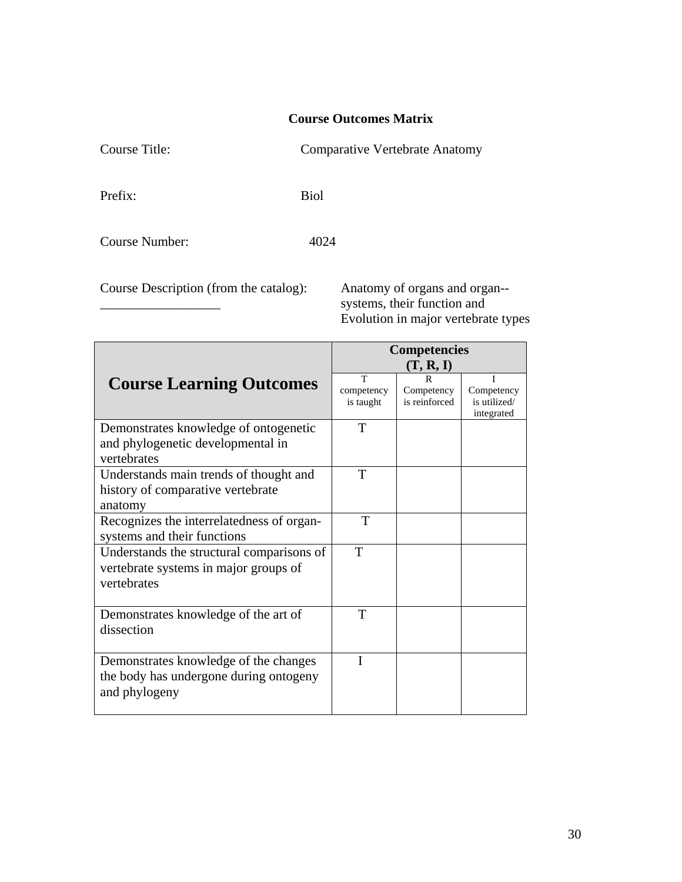Course Title: Comparative Vertebrate Anatomy

Prefix: Biol

Course Number: 4024

Course Description (from the catalog): Anatomy of organs and organ--

systems, their function and Evolution in major vertebrate types

|                                           | <b>Competencies</b> |               |              |  |  |  |
|-------------------------------------------|---------------------|---------------|--------------|--|--|--|
|                                           | (T, R, I)           |               |              |  |  |  |
| <b>Course Learning Outcomes</b>           | T                   |               |              |  |  |  |
|                                           | competency          | Competency    | Competency   |  |  |  |
|                                           | is taught           | is reinforced | is utilized/ |  |  |  |
|                                           | T                   |               | integrated   |  |  |  |
| Demonstrates knowledge of ontogenetic     |                     |               |              |  |  |  |
| and phylogenetic developmental in         |                     |               |              |  |  |  |
| vertebrates                               |                     |               |              |  |  |  |
| Understands main trends of thought and    | T                   |               |              |  |  |  |
| history of comparative vertebrate         |                     |               |              |  |  |  |
| anatomy                                   |                     |               |              |  |  |  |
| Recognizes the interrelatedness of organ- | T                   |               |              |  |  |  |
| systems and their functions               |                     |               |              |  |  |  |
| Understands the structural comparisons of | T                   |               |              |  |  |  |
| vertebrate systems in major groups of     |                     |               |              |  |  |  |
| vertebrates                               |                     |               |              |  |  |  |
|                                           |                     |               |              |  |  |  |
| Demonstrates knowledge of the art of      | T                   |               |              |  |  |  |
| dissection                                |                     |               |              |  |  |  |
|                                           |                     |               |              |  |  |  |
| Demonstrates knowledge of the changes     | T                   |               |              |  |  |  |
| the body has undergone during ontogeny    |                     |               |              |  |  |  |
| and phylogeny                             |                     |               |              |  |  |  |
|                                           |                     |               |              |  |  |  |
|                                           |                     |               |              |  |  |  |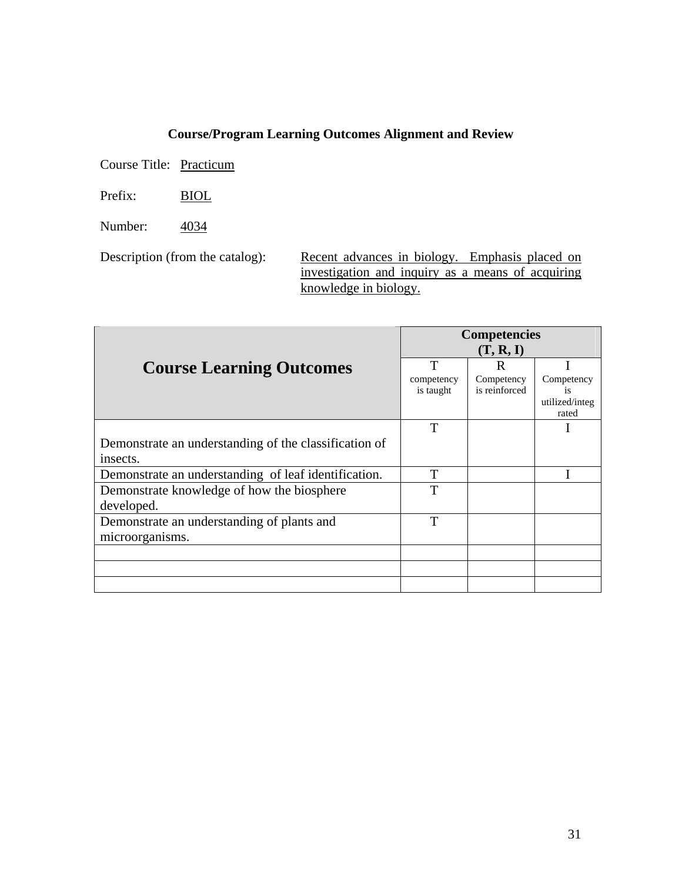Course Title: Practicum

Prefix: BIOL

Number: 4034

Description (from the catalog): Recent advances in biology. Emphasis placed on investigation and inquiry as a means of acquiring knowledge in biology.

|                                                       | <b>Competencies</b><br>(T, R, I) |                             |                         |  |  |
|-------------------------------------------------------|----------------------------------|-----------------------------|-------------------------|--|--|
| <b>Course Learning Outcomes</b>                       | T                                | R                           |                         |  |  |
|                                                       | competency<br>is taught          | Competency<br>is reinforced | Competency<br><i>is</i> |  |  |
|                                                       |                                  |                             | utilized/integ<br>rated |  |  |
|                                                       | T                                |                             |                         |  |  |
| Demonstrate an understanding of the classification of |                                  |                             |                         |  |  |
| insects.                                              |                                  |                             |                         |  |  |
| Demonstrate an understanding of leaf identification.  | T                                |                             |                         |  |  |
| Demonstrate knowledge of how the biosphere            | T                                |                             |                         |  |  |
| developed.                                            |                                  |                             |                         |  |  |
| Demonstrate an understanding of plants and            | T                                |                             |                         |  |  |
| microorganisms.                                       |                                  |                             |                         |  |  |
|                                                       |                                  |                             |                         |  |  |
|                                                       |                                  |                             |                         |  |  |
|                                                       |                                  |                             |                         |  |  |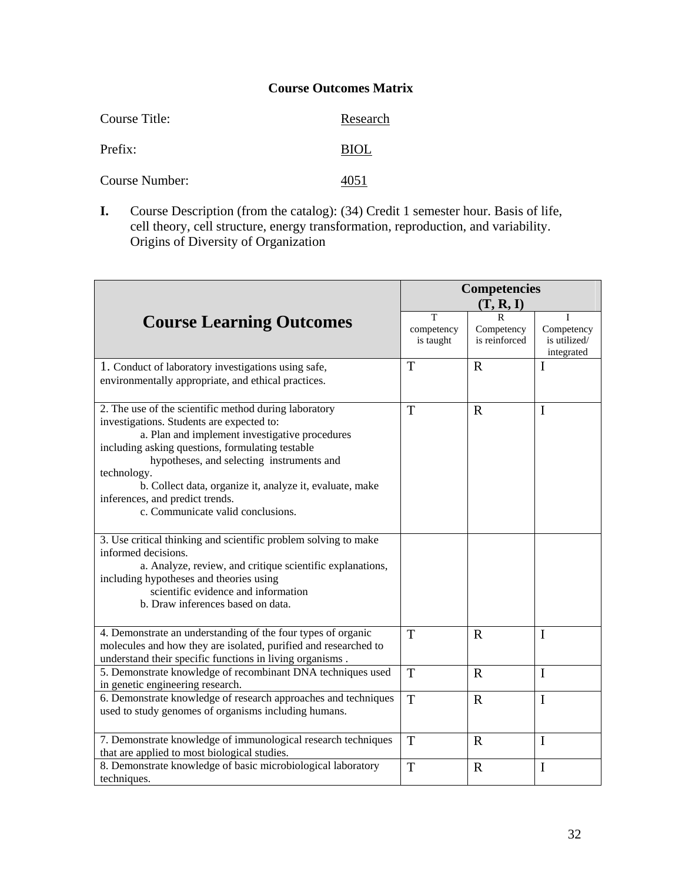| Course Title:  | Research    |
|----------------|-------------|
| Prefix:        | <b>BIOL</b> |
| Course Number: | 4051        |

**I.** Course Description (from the catalog): (34) Credit 1 semester hour. Basis of life, cell theory, cell structure, energy transformation, reproduction, and variability. Origins of Diversity of Organization

|                                                                                                                                                                                                                                                                                                                                                                                                          | <b>Competencies</b>          |                                  |                                               |  |
|----------------------------------------------------------------------------------------------------------------------------------------------------------------------------------------------------------------------------------------------------------------------------------------------------------------------------------------------------------------------------------------------------------|------------------------------|----------------------------------|-----------------------------------------------|--|
|                                                                                                                                                                                                                                                                                                                                                                                                          |                              | (T, R, I)                        |                                               |  |
| <b>Course Learning Outcomes</b>                                                                                                                                                                                                                                                                                                                                                                          | T<br>competency<br>is taught | R<br>Competency<br>is reinforced | Τ<br>Competency<br>is utilized/<br>integrated |  |
| 1. Conduct of laboratory investigations using safe,<br>environmentally appropriate, and ethical practices.                                                                                                                                                                                                                                                                                               | T                            | $\mathbf R$                      | $\mathbf I$                                   |  |
| 2. The use of the scientific method during laboratory<br>investigations. Students are expected to:<br>a. Plan and implement investigative procedures<br>including asking questions, formulating testable<br>hypotheses, and selecting instruments and<br>technology.<br>b. Collect data, organize it, analyze it, evaluate, make<br>inferences, and predict trends.<br>c. Communicate valid conclusions. | T                            | $\mathbf R$                      | $\mathbf I$                                   |  |
| 3. Use critical thinking and scientific problem solving to make<br>informed decisions.<br>a. Analyze, review, and critique scientific explanations,<br>including hypotheses and theories using<br>scientific evidence and information<br>b. Draw inferences based on data.                                                                                                                               |                              |                                  |                                               |  |
| 4. Demonstrate an understanding of the four types of organic<br>molecules and how they are isolated, purified and researched to<br>understand their specific functions in living organisms.                                                                                                                                                                                                              | T                            | $\mathbf R$                      | $\mathbf I$                                   |  |
| 5. Demonstrate knowledge of recombinant DNA techniques used<br>in genetic engineering research.                                                                                                                                                                                                                                                                                                          | T                            | $\mathbf R$                      | $\mathbf I$                                   |  |
| 6. Demonstrate knowledge of research approaches and techniques<br>used to study genomes of organisms including humans.                                                                                                                                                                                                                                                                                   | T                            | $\mathbf R$                      | $\mathbf I$                                   |  |
| 7. Demonstrate knowledge of immunological research techniques<br>that are applied to most biological studies.                                                                                                                                                                                                                                                                                            | T                            | $\mathbf R$                      | $\mathbf I$                                   |  |
| 8. Demonstrate knowledge of basic microbiological laboratory<br>techniques.                                                                                                                                                                                                                                                                                                                              | T                            | $\mathbf R$                      | $\mathbf I$                                   |  |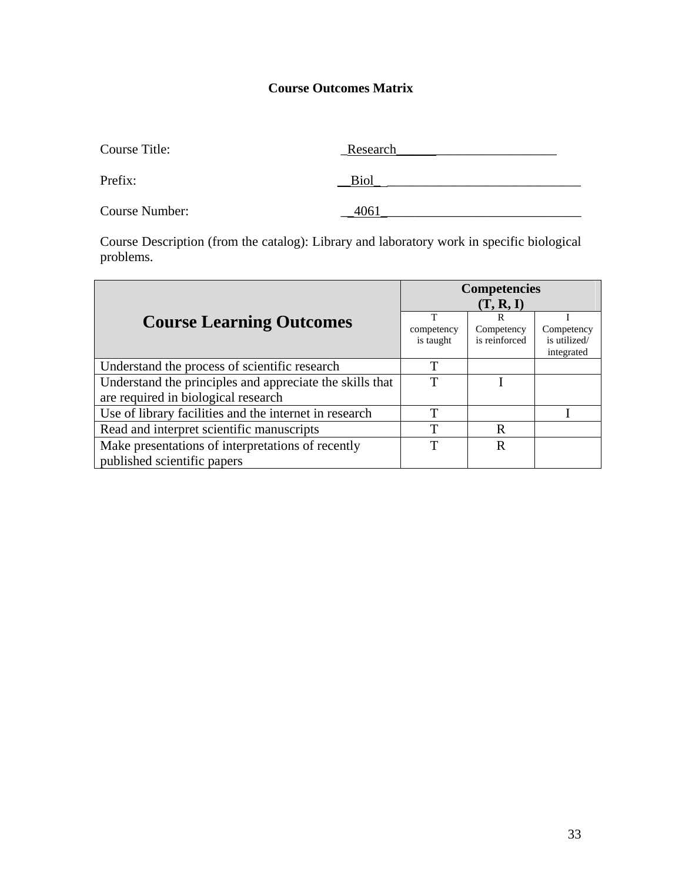| Course Title:  | Research |
|----------------|----------|
| Prefix:        | Biol     |
| Course Number: | 4061     |

Course Description (from the catalog): Library and laboratory work in specific biological problems.

|                                                          | <b>Competencies</b> |               |                            |  |  |
|----------------------------------------------------------|---------------------|---------------|----------------------------|--|--|
|                                                          | (T, R, I)           |               |                            |  |  |
| <b>Course Learning Outcomes</b>                          | т                   | R             |                            |  |  |
|                                                          | competency          | Competency    | Competency                 |  |  |
|                                                          | is taught           | is reinforced | is utilized/<br>integrated |  |  |
| Understand the process of scientific research            | T                   |               |                            |  |  |
| Understand the principles and appreciate the skills that | T                   |               |                            |  |  |
| are required in biological research                      |                     |               |                            |  |  |
| Use of library facilities and the internet in research   | T                   |               |                            |  |  |
| Read and interpret scientific manuscripts                | T                   | R             |                            |  |  |
| Make presentations of interpretations of recently        | T                   | R             |                            |  |  |
| published scientific papers                              |                     |               |                            |  |  |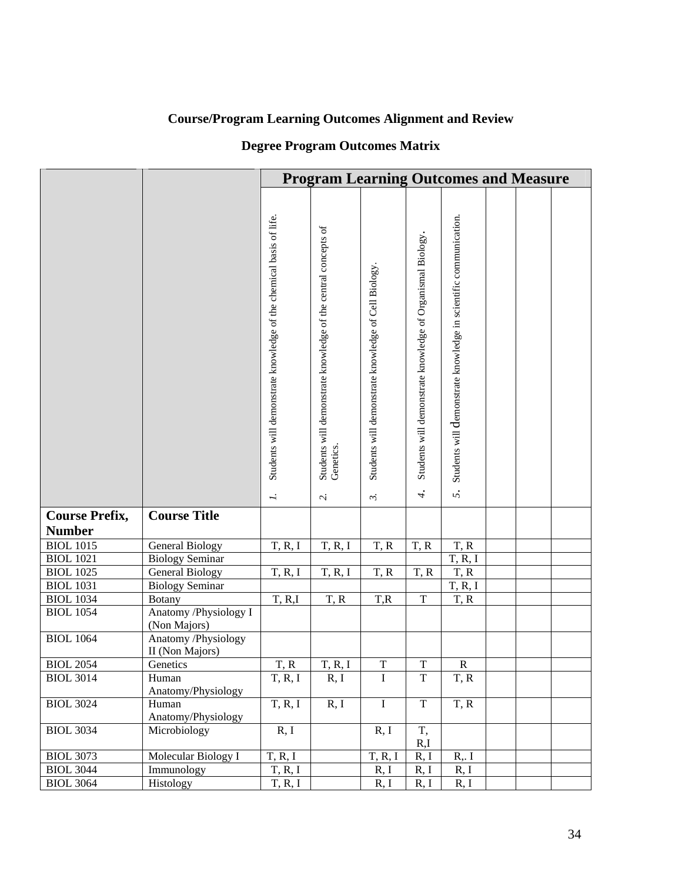# **Degree Program Outcomes Matrix**

|                       | <b>Program Learning Outcomes and Measure</b>  |                                                                                  |                                                                                       |                                                                                     |                                                                                    |                                                                        |  |  |
|-----------------------|-----------------------------------------------|----------------------------------------------------------------------------------|---------------------------------------------------------------------------------------|-------------------------------------------------------------------------------------|------------------------------------------------------------------------------------|------------------------------------------------------------------------|--|--|
|                       |                                               | Students will demonstrate knowledge of the chemical basis of life.<br>$\ddot{ }$ | Students will demonstrate knowledge of the central concepts of<br>Genetics.<br>$\sim$ | Students will demonstrate knowledge of Cell Biology.<br>$\widetilde{\mathcal{L}}$ . | Students will demonstrate knowledge of Organismal Biology.<br>$\ddot{\mathcal{L}}$ | Students will demonstrate knowledge in scientific communication.<br>5. |  |  |
| <b>Course Prefix,</b> | <b>Course Title</b>                           |                                                                                  |                                                                                       |                                                                                     |                                                                                    |                                                                        |  |  |
| <b>Number</b>         |                                               |                                                                                  |                                                                                       |                                                                                     |                                                                                    |                                                                        |  |  |
| <b>BIOL 1015</b>      | <b>General Biology</b>                        | T, R, I                                                                          | T, R, I                                                                               | T, R                                                                                | T, R                                                                               | T, R                                                                   |  |  |
| <b>BIOL</b> 1021      | <b>Biology Seminar</b>                        |                                                                                  |                                                                                       |                                                                                     |                                                                                    | T, R, I                                                                |  |  |
| <b>BIOL 1025</b>      | <b>General Biology</b>                        | T, R, I                                                                          | T, R, I                                                                               | T, R                                                                                | T, R                                                                               | T, R                                                                   |  |  |
| <b>BIOL 1031</b>      | <b>Biology Seminar</b>                        |                                                                                  |                                                                                       |                                                                                     |                                                                                    | T, R, I                                                                |  |  |
| <b>BIOL 1034</b>      | <b>Botany</b>                                 | T, R, I                                                                          | T, R                                                                                  | T,R                                                                                 | $\overline{T}$                                                                     | T, R                                                                   |  |  |
| <b>BIOL 1054</b>      | Anatomy /Physiology I<br>(Non Majors)         |                                                                                  |                                                                                       |                                                                                     |                                                                                    |                                                                        |  |  |
| <b>BIOL</b> 1064      | <b>Anatomy /Physiology</b><br>II (Non Majors) |                                                                                  |                                                                                       |                                                                                     |                                                                                    |                                                                        |  |  |
| <b>BIOL 2054</b>      | Genetics                                      | T, R                                                                             | T, R, I                                                                               | $\mathbf T$                                                                         | $\mathbf T$                                                                        | ${\bf R}$                                                              |  |  |
| <b>BIOL 3014</b>      | Human                                         | T, R, I                                                                          | R, I                                                                                  | I                                                                                   | $\mathbf T$                                                                        | T, R                                                                   |  |  |
|                       | Anatomy/Physiology                            |                                                                                  |                                                                                       |                                                                                     |                                                                                    |                                                                        |  |  |
| <b>BIOL 3024</b>      | Human                                         | T, R, I                                                                          | R, I                                                                                  | $\rm I$                                                                             | $\overline{T}$                                                                     | T, R                                                                   |  |  |
|                       | Anatomy/Physiology                            |                                                                                  |                                                                                       |                                                                                     |                                                                                    |                                                                        |  |  |
| <b>BIOL 3034</b>      | Microbiology                                  | R, I                                                                             |                                                                                       | R, I                                                                                | T,                                                                                 |                                                                        |  |  |
|                       |                                               |                                                                                  |                                                                                       |                                                                                     | R,I                                                                                |                                                                        |  |  |
| <b>BIOL 3073</b>      | Molecular Biology I                           | T, R, I                                                                          |                                                                                       | T, R, I                                                                             | R, I                                                                               | $R1$ .                                                                 |  |  |
| <b>BIOL 3044</b>      | Immunology                                    | T, R, I                                                                          |                                                                                       | R, I                                                                                | R, I                                                                               | R, I                                                                   |  |  |
| <b>BIOL 3064</b>      | Histology                                     | T, R, I                                                                          |                                                                                       | R, I                                                                                | R, I                                                                               | R, I                                                                   |  |  |